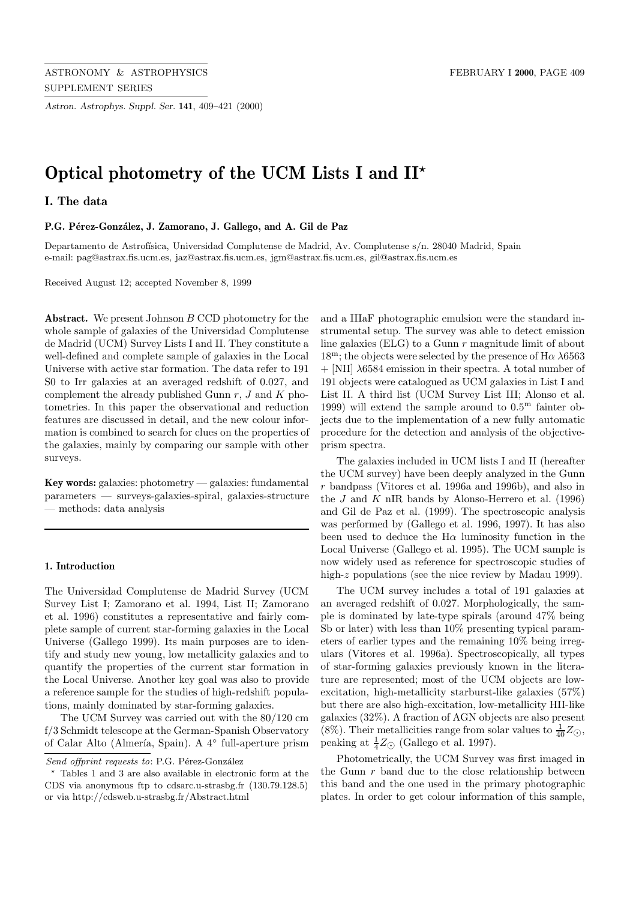*Astron. Astrophys. Suppl. Ser.* **141**, 409–421 (2000)

# **Optical photometry of the UCM Lists I and II***?*

**I. The data**

#### P.G. Pérez-González, J. Zamorano, J. Gallego, and A. Gil de Paz

Departamento de Astrofísica, Universidad Complutense de Madrid, Av. Complutense s/n. 28040 Madrid, Spain e-mail: pag@astrax.fis.ucm.es, jaz@astrax.fis.ucm.es, jgm@astrax.fis.ucm.es, gil@astrax.fis.ucm.es

Received August 12; accepted November 8, 1999

Abstract. We present Johnson B CCD photometry for the whole sample of galaxies of the Universidad Complutense de Madrid (UCM) Survey Lists I and II. They constitute a well-defined and complete sample of galaxies in the Local Universe with active star formation. The data refer to 191 S0 to Irr galaxies at an averaged redshift of 0.027, and complement the already published Gunn  $r$ ,  $J$  and  $K$  photometries. In this paper the observational and reduction features are discussed in detail, and the new colour information is combined to search for clues on the properties of the galaxies, mainly by comparing our sample with other surveys.

**Key words:** galaxies: photometry — galaxies: fundamental parameters — surveys-galaxies-spiral, galaxies-structure — methods: data analysis

### **1. Introduction**

The Universidad Complutense de Madrid Survey (UCM Survey List I; Zamorano et al. 1994, List II; Zamorano et al. 1996) constitutes a representative and fairly complete sample of current star-forming galaxies in the Local Universe (Gallego 1999). Its main purposes are to identify and study new young, low metallicity galaxies and to quantify the properties of the current star formation in the Local Universe. Another key goal was also to provide a reference sample for the studies of high-redshift populations, mainly dominated by star-forming galaxies.

The UCM Survey was carried out with the 80/120 cm f/3 Schmidt telescope at the German-Spanish Observatory of Calar Alto (Almería, Spain). A 4<sup>○</sup> full-aperture prism

and a IIIaF photographic emulsion were the standard instrumental setup. The survey was able to detect emission line galaxies (ELG) to a Gunn  $r$  magnitude limit of about  $18^{\rm m}$ ; the objects were selected by the presence of H $\alpha$   $\lambda$ 6563  $+$  [NII]  $\lambda$ 6584 emission in their spectra. A total number of 191 objects were catalogued as UCM galaxies in List I and List II. A third list (UCM Survey List III; Alonso et al. 1999) will extend the sample around to  $0.5<sup>m</sup>$  fainter objects due to the implementation of a new fully automatic procedure for the detection and analysis of the objectiveprism spectra.

The galaxies included in UCM lists I and II (hereafter the UCM survey) have been deeply analyzed in the Gunn r bandpass (Vitores et al. 1996a and 1996b), and also in the  $J$  and  $K$  nIR bands by Alonso-Herrero et al. (1996) and Gil de Paz et al. (1999). The spectroscopic analysis was performed by (Gallego et al. 1996, 1997). It has also been used to deduce the  $H\alpha$  luminosity function in the Local Universe (Gallego et al. 1995). The UCM sample is now widely used as reference for spectroscopic studies of high-z populations (see the nice review by Madau 1999).

The UCM survey includes a total of 191 galaxies at an averaged redshift of 0.027. Morphologically, the sample is dominated by late-type spirals (around 47% being Sb or later) with less than 10% presenting typical parameters of earlier types and the remaining 10% being irregulars (Vitores et al. 1996a). Spectroscopically, all types of star-forming galaxies previously known in the literature are represented; most of the UCM objects are lowexcitation, high-metallicity starburst-like galaxies (57%) but there are also high-excitation, low-metallicity HII-like galaxies (32%). A fraction of AGN objects are also present (8%). Their metallicities range from solar values to  $\frac{1}{40}Z_{\odot}$ , peaking at  $\frac{1}{4}Z_{\odot}$  (Gallego et al. 1997).

Photometrically, the UCM Survey was first imaged in the Gunn  $r$  band due to the close relationship between this band and the one used in the primary photographic plates. In order to get colour information of this sample,

Send offprint requests to: P.G. Pérez-González

<sup>?</sup> Tables 1 and 3 are also available in electronic form at the CDS via anonymous ftp to cdsarc.u-strasbg.fr (130.79.128.5) or via http://cdsweb.u-strasbg.fr/Abstract.html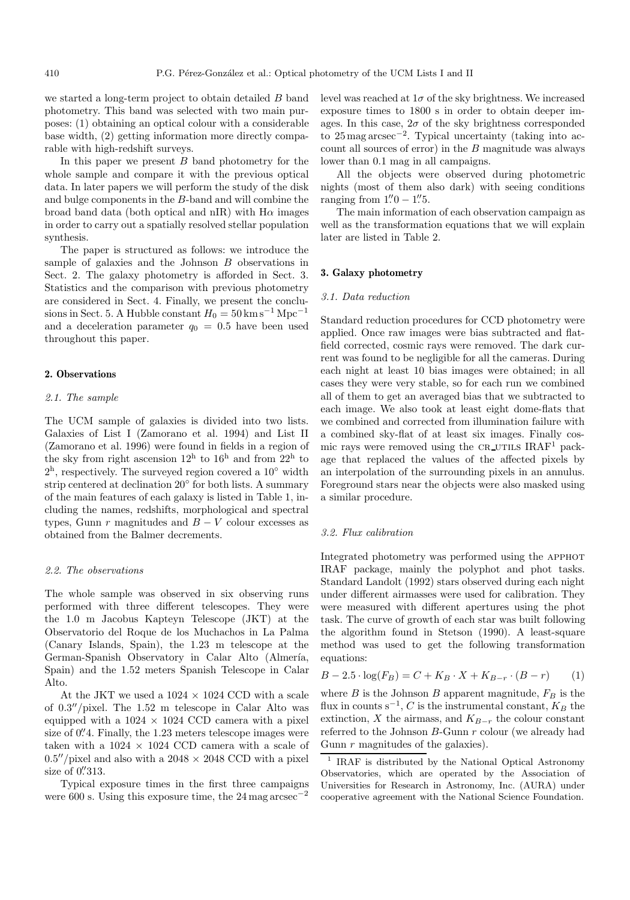we started a long-term project to obtain detailed B band photometry. This band was selected with two main purposes: (1) obtaining an optical colour with a considerable base width, (2) getting information more directly comparable with high-redshift surveys.

In this paper we present  $B$  band photometry for the whole sample and compare it with the previous optical data. In later papers we will perform the study of the disk and bulge components in the B-band and will combine the broad band data (both optical and nIR) with  $H\alpha$  images in order to carry out a spatially resolved stellar population synthesis.

The paper is structured as follows: we introduce the sample of galaxies and the Johnson B observations in Sect. 2. The galaxy photometry is afforded in Sect. 3. Statistics and the comparison with previous photometry are considered in Sect. 4. Finally, we present the conclusions in Sect. 5. A Hubble constant  $H_0 = 50 \,\mathrm{km\,s^{-1}\,Mpc^{-1}}$ and a deceleration parameter  $q_0 = 0.5$  have been used throughout this paper.

## **2. Observations**

#### 2.1. The sample

The UCM sample of galaxies is divided into two lists. Galaxies of List I (Zamorano et al. 1994) and List II (Zamorano et al. 1996) were found in fields in a region of the sky from right ascension  $12^h$  to  $16^h$  and from  $22^h$  to  $2<sup>h</sup>$ , respectively. The surveyed region covered a 10 $<sup>°</sup>$  width</sup> strip centered at declination 20◦ for both lists. A summary of the main features of each galaxy is listed in Table 1, including the names, redshifts, morphological and spectral types, Gunn  $r$  magnitudes and  $B - V$  colour excesses as obtained from the Balmer decrements.

#### 2.2. The observations

The whole sample was observed in six observing runs performed with three different telescopes. They were the 1.0 m Jacobus Kapteyn Telescope (JKT) at the Observatorio del Roque de los Muchachos in La Palma (Canary Islands, Spain), the 1.23 m telescope at the German-Spanish Observatory in Calar Alto (Almería, Spain) and the 1.52 meters Spanish Telescope in Calar Alto.

At the JKT we used a  $1024 \times 1024$  CCD with a scale of  $0.3''/\text{pixel}$ . The 1.52 m telescope in Calar Alto was equipped with a  $1024 \times 1024$  CCD camera with a pixel size of  $0\rlap{.}^{\prime\prime}$ 4. Finally, the 1.23 meters telescope images were taken with a  $1024 \times 1024$  CCD camera with a scale of  $0.5''/\text{pixel}$  and also with a 2048  $\times$  2048 CCD with a pixel size of 0.'313.

Typical exposure times in the first three campaigns were 600 s. Using this exposure time, the 24 mag arcsec−<sup>2</sup>

level was reached at  $1\sigma$  of the sky brightness. We increased exposure times to 1800 s in order to obtain deeper images. In this case,  $2\sigma$  of the sky brightness corresponded to 25 mag arcsec−<sup>2</sup>. Typical uncertainty (taking into account all sources of error) in the  $B$  magnitude was always lower than 0.1 mag in all campaigns.

All the objects were observed during photometric nights (most of them also dark) with seeing conditions ranging from  $1\rlap.{''}0 - 1\rlap.{''}5$ .

The main information of each observation campaign as well as the transformation equations that we will explain later are listed in Table 2.

## **3. Galaxy photometry**

#### 3.1. Data reduction

Standard reduction procedures for CCD photometry were applied. Once raw images were bias subtracted and flatfield corrected, cosmic rays were removed. The dark current was found to be negligible for all the cameras. During each night at least 10 bias images were obtained; in all cases they were very stable, so for each run we combined all of them to get an averaged bias that we subtracted to each image. We also took at least eight dome-flats that we combined and corrected from illumination failure with a combined sky-flat of at least six images. Finally cosmic rays were removed using the  $CR\_UTILS$  IRAF<sup>1</sup> package that replaced the values of the affected pixels by an interpolation of the surrounding pixels in an annulus. Foreground stars near the objects were also masked using a similar procedure.

### 3.2. Flux calibration

Integrated photometry was performed using the apphot IRAF package, mainly the polyphot and phot tasks. Standard Landolt (1992) stars observed during each night under different airmasses were used for calibration. They were measured with different apertures using the phot task. The curve of growth of each star was built following the algorithm found in Stetson (1990). A least-square method was used to get the following transformation equations:

$$
B - 2.5 \cdot \log(F_B) = C + K_B \cdot X + K_{B-r} \cdot (B - r) \tag{1}
$$

where  $B$  is the Johnson  $B$  apparent magnitude,  $F_B$  is the flux in counts  $s^{-1}$ , C is the instrumental constant,  $K_B$  the extinction, X the airmass, and  $K_{B-r}$  the colour constant referred to the Johnson B-Gunn r colour (we already had Gunn  $r$  magnitudes of the galaxies).

<sup>1</sup> IRAF is distributed by the National Optical Astronomy Observatories, which are operated by the Association of Universities for Research in Astronomy, Inc. (AURA) under cooperative agreement with the National Science Foundation.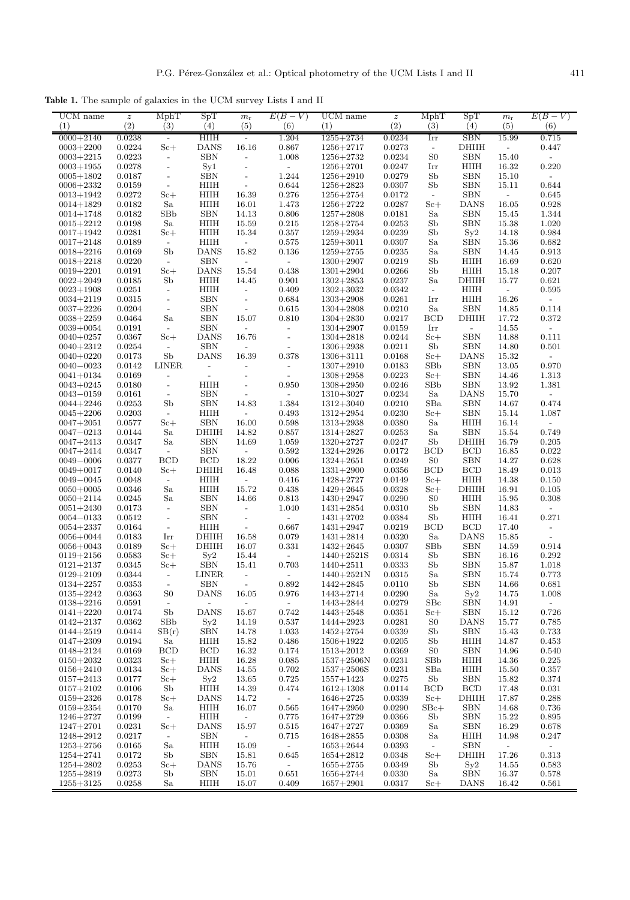**Table 1.** The sample of galaxies in the UCM survey Lists I and II

| (2)<br>(2)<br>(6)<br>(3)<br>(6)<br>(3)<br>(5)<br>(5)<br>(4)<br>(4)<br>HIIH<br>1.204<br><b>SBN</b><br>$0000 + 2140$<br>0.0238<br>$1255 + 2734$<br>0.0234<br>Irr<br>15.99<br>0.715<br>$\overline{\phantom{a}}$<br>0.0224<br>$Sc+$<br><b>DANS</b><br>16.16<br>0.867<br>$1256 + 2717$<br>0.0273<br><b>DHIIH</b><br>$0003 + 2200$<br>0.447<br>$\overline{\phantom{a}}$<br>$\equiv$<br>0.0223<br><b>SBN</b><br>1.008<br>0.0234<br>S <sub>0</sub><br><b>SBN</b><br>15.40<br>$0003 + 2215$<br>$1256 + 2732$<br>$\overline{\phantom{a}}$<br>$\qquad \qquad -$<br>$\overline{a}$<br>0.0278<br>Syl<br>0.0247<br>HIIH<br>16.32<br>0.220<br>$0003 + 1955$<br>$1256 + 2701$<br>Irr<br>$\overline{\phantom{a}}$<br>$\blacksquare$<br>$\blacksquare$<br>1.244<br><b>SBN</b><br>$1256 + 2910$<br>0.0279<br>Sb<br><b>SBN</b><br>$0005 + 1802$<br>0.0187<br>15.10<br>$\overline{\phantom{a}}$<br>$\overline{\phantom{0}}$<br>$\overline{\phantom{a}}$<br>0.0307<br>Sb<br><b>SBN</b><br>0.644<br>$0006 + 2332$<br>0.0159<br>HIIH<br>0.644<br>$1256 + 2823$<br>15.11<br>$\overline{\phantom{a}}$<br>$\overline{\phantom{a}}$<br>0.0272<br>HIIH<br>16.39<br>0.276<br>0.0172<br><b>SBN</b><br>0.645<br>$0013 + 1942$<br>$S_{c+}$<br>$1256 + 2754$<br>$\equiv$<br>$\overline{\phantom{a}}$<br>Sa<br>0.0287<br>$Sc+$<br><b>DANS</b><br>16.05<br>$0014 + 1829$<br>0.0182<br>HIIH<br>16.01<br>1.473<br>$1256 + 2722$<br>0.928<br>0.0182<br>SBb<br><b>SBN</b><br>14.13<br>0.806<br>0.0181<br>Sa<br><b>SBN</b><br>1.344<br>$0014 + 1748$<br>$1257 + 2808$<br>15.45<br>0.0198<br>Sa<br>HIIH<br>0.215<br>0.0253<br><b>SBN</b><br>1.020<br>$0015 + 2212$<br>15.59<br>$1258 + 2754$<br>Sb<br>15.38<br>0.0281<br>HIIH<br>15.34<br>0.357<br>1259+2934<br>0.0239<br>Sb<br>Sy2<br>$0017 + 1942$<br>$S_{c+}$<br>14.18<br>0.984<br>$\rm H I \rm I H$<br>0.575<br>0.0307<br><b>SBN</b><br>$0017 + 2148$<br>0.0189<br>$\overline{\phantom{a}}$<br>$1259 + 3011$<br>Sa<br>15.36<br>0.682<br>$\overline{\phantom{a}}$<br>0.0169<br>Sb<br><b>DANS</b><br>15.82<br>0.136<br>$1259 + 2755$<br>0.0235<br>Sa<br><b>SBN</b><br>0.913<br>$0018 + 2216$<br>14.45<br><b>SBN</b><br>$0018 + 2218$<br>0.0220<br>1300+2907<br>0.0219<br>Sb<br>HIIH<br>16.69<br>0.620<br>$\blacksquare$<br>$\overline{\phantom{a}}$<br>$\overline{\phantom{a}}$<br>15.54<br>0.438<br>Sb<br>0.207<br>$0019 + 2201$<br>0.0191<br>$S_{c+}$<br><b>DANS</b><br>$1301 + 2904$<br>0.0266<br>HIIH<br>15.18<br>Sb<br>$0022 + 2049$<br>0.0185<br>HIIH<br>14.45<br>0.901<br>$1302 + 2853$<br>0.0237<br>Sa<br>DHIIH<br>15.77<br>0.621<br>0.409<br>$0023 + 1908$<br>0.0251<br>HIIH<br>$1302 + 3032$<br>0.0342<br>HIIH<br>0.595<br>$\Box$<br>$\overline{\phantom{a}}$<br>$\overline{\phantom{a}}$<br>$\overline{\phantom{a}}$<br><b>SBN</b><br>16.26<br>$0034 + 2119$<br>0.0315<br>0.684<br>$1303 + 2908$<br>0.0261<br>Irr<br>HIIH<br>$\overline{\phantom{a}}$<br>$\overline{\phantom{a}}$<br>$\overline{a}$<br><b>SBN</b><br><b>SBN</b><br>0.114<br>$0037 + 2226$<br>0.0204<br>0.615<br>$1304 + 2808$<br>0.0210<br>Sa<br>14.85<br>$\overline{\phantom{a}}$<br>$\overline{\phantom{a}}$<br>Sa<br><b>SBN</b><br>0.810<br>$0038 + 2259$<br>0.0464<br>15.07<br>$1304 + 2830$<br>0.0217<br>BCD<br><b>DHIIH</b><br>17.72<br>0.372<br><b>SBN</b><br>$0039 + 0054$<br>0.0191<br>$1304 + 2907$<br>0.0159<br>Irr<br>14.55<br>$\overline{\phantom{a}}$<br>$\overline{\phantom{a}}$<br>$\overline{\phantom{a}}$<br>$\overline{\phantom{a}}$<br>$\blacksquare$<br>16.76<br><b>SBN</b><br>$0040 + 0257$<br>0.0367<br>$S_{c+}$<br><b>DANS</b><br>$1304 + 2818$<br>0.0244<br>$S_{c+}$<br>14.88<br>0.111<br>$\overline{\phantom{a}}$<br><b>SBN</b><br><b>SBN</b><br>0.501<br>$0040 + 2312$<br>0.0254<br>$1306 + 2938$<br>0.0211<br>Sb<br>14.80<br>$\overline{\phantom{a}}$<br>$\overline{\phantom{a}}$<br>$\overline{\phantom{a}}$<br>S <sub>b</sub><br>16.39<br>$0040 + 0220$<br>0.0173<br><b>DANS</b><br>0.378<br>$1306 + 3111$<br>0.0168<br>$S_{c+}$<br><b>DANS</b><br>15.32<br>$\overline{a}$<br><b>LINER</b><br>SBb<br><b>SBN</b><br>0.970<br>$0040 - 0023$<br>0.0142<br>$1307 + 2910$<br>0.0183<br>13.05<br>$\overline{\phantom{a}}$<br>$\overline{\phantom{a}}$<br>$\overline{\phantom{a}}$<br><b>SBN</b><br>$0041 + 0134$<br>0.0169<br>$1308 + 2958$<br>0.0223<br>$Sc+$<br>14.46<br>1.313<br>$\overline{\phantom{a}}$<br>$\overline{\phantom{a}}$<br>$\overline{\phantom{a}}$<br>$\overline{a}$<br>0.0246<br><b>SBN</b><br>$0043 + 0245$<br>0.0180<br>$\overline{\phantom{a}}$<br>HIIH<br>0.950<br>$1308 + 2950$<br>SBb<br>13.92<br>1.381<br>$\overline{\phantom{a}}$<br><b>SBN</b><br>0.0234<br>Sa<br><b>DANS</b><br>15.70<br>$0043 - 0159$<br>0.0161<br>$\overline{\phantom{a}}$<br>$1310 + 3027$<br>$\overline{\phantom{a}}$<br>$\qquad \qquad -$<br>$\overline{a}$<br>Sb<br><b>SBN</b><br>1.384<br>SBa<br><b>SBN</b><br>0.474<br>$0044 + 2246$<br>0.0253<br>14.83<br>$1312 + 3040$<br>0.0210<br>14.67<br><b>SBN</b><br>$0045 + 2206$<br>0.0203<br>HIIH<br>0.493<br>$1312 + 2954$<br>0.0230<br>$Sc+$<br>15.14<br>1.087<br>$\overline{\phantom{a}}$<br>$\blacksquare$<br><b>SBN</b><br>16.00<br>0.598<br>$1313 + 2938$<br>HIIH<br>$0047 + 2051$<br>0.0577<br>$S_{c+}$<br>0.0380<br>Sa<br>16.14<br>$\overline{\phantom{0}}$<br>Sa<br>DHIIH<br><b>SBN</b><br>0.749<br>0.0144<br>14.82<br>0.857<br>$1314 + 2827$<br>0.0253<br>Sa<br>15.54<br>$0047 - 0213$<br><b>SBN</b><br>Sa<br>1.059<br>1320+2727<br>Sb<br>DHIIH<br>0.205<br>$0047 + 2413$<br>0.0347<br>14.69<br>0.0247<br>16.79<br><b>SBN</b><br><b>BCD</b><br><b>BCD</b><br>$0047 + 2414$<br>0.0347<br>0.592<br>$1324 + 2926$<br>0.0172<br>16.85<br>0.022<br>$\overline{\phantom{a}}$<br>$\overline{\phantom{a}}$<br><b>BCD</b><br><b>BCD</b><br>18.22<br>0.006<br>$1324 + 2651$<br>0.0249<br>${\rm S0}$<br><b>SBN</b><br>14.27<br>0.628<br>0.0377<br>$0049 - 0006$<br><b>DHIIH</b><br><b>BCD</b><br><b>BCD</b><br>0.0140<br>$Sc+$<br>16.48<br>0.088<br>$1331 + 2900$<br>0.0356<br>18.49<br>0.013<br>$0049 + 0017$<br>1428+2727<br>0.0149<br>HIIH<br>14.38<br>$0049 - 0045$<br>0.0048<br>HIIH<br>0.416<br>$Sc+$<br>0.150<br>$\overline{\phantom{a}}$<br>$\overline{\phantom{a}}$<br>Sa<br>$\rm H I \rm I H$<br>15.72<br>0.0346<br>0.438<br>$1429 + 2645$<br>0.0328<br>$S_{c+}$<br>DHIIH<br>16.91<br>0.105<br>$0050 + 0005$<br><b>SBN</b><br>0.813<br>1430+2947<br>0.0290<br>S <sub>0</sub><br>$0050 + 2114$<br>0.0245<br>Sa<br>14.66<br>HIIH<br>15.95<br>0.308<br>0.0173<br><b>SBN</b><br>Sb<br><b>SBN</b><br>1.040<br>$1431 + 2854$<br>0.0310<br>14.83<br>$0051 + 2430$<br>$\overline{\phantom{a}}$<br>$\overline{\phantom{a}}$<br>$\overline{a}$<br><b>SBN</b><br>$1431 + 2702$<br>0.0384<br>Sb<br>HIIH<br>0.271<br>$0054 - 0133$<br>0.0512<br>16.41<br>$\overline{\phantom{a}}$<br>$\overline{\phantom{a}}$<br>$\overline{\phantom{a}}$<br>HIIH<br>0.667<br>0.0219<br><b>BCD</b><br><b>BCD</b><br>$0054 + 2337$<br>0.0164<br>$1431 + 2947$<br>17.40<br>$\overline{\phantom{a}}$<br>$\overline{\phantom{a}}$<br>$\overline{a}$<br>DHIIH<br>0.079<br>0.0320<br>Sa<br><b>DANS</b><br>0.0183<br>16.58<br>$1431 + 2814$<br>15.85<br>$0056 + 0044$<br>Irr<br>$\overline{a}$ |
|--------------------------------------------------------------------------------------------------------------------------------------------------------------------------------------------------------------------------------------------------------------------------------------------------------------------------------------------------------------------------------------------------------------------------------------------------------------------------------------------------------------------------------------------------------------------------------------------------------------------------------------------------------------------------------------------------------------------------------------------------------------------------------------------------------------------------------------------------------------------------------------------------------------------------------------------------------------------------------------------------------------------------------------------------------------------------------------------------------------------------------------------------------------------------------------------------------------------------------------------------------------------------------------------------------------------------------------------------------------------------------------------------------------------------------------------------------------------------------------------------------------------------------------------------------------------------------------------------------------------------------------------------------------------------------------------------------------------------------------------------------------------------------------------------------------------------------------------------------------------------------------------------------------------------------------------------------------------------------------------------------------------------------------------------------------------------------------------------------------------------------------------------------------------------------------------------------------------------------------------------------------------------------------------------------------------------------------------------------------------------------------------------------------------------------------------------------------------------------------------------------------------------------------------------------------------------------------------------------------------------------------------------------------------------------------------------------------------------------------------------------------------------------------------------------------------------------------------------------------------------------------------------------------------------------------------------------------------------------------------------------------------------------------------------------------------------------------------------------------------------------------------------------------------------------------------------------------------------------------------------------------------------------------------------------------------------------------------------------------------------------------------------------------------------------------------------------------------------------------------------------------------------------------------------------------------------------------------------------------------------------------------------------------------------------------------------------------------------------------------------------------------------------------------------------------------------------------------------------------------------------------------------------------------------------------------------------------------------------------------------------------------------------------------------------------------------------------------------------------------------------------------------------------------------------------------------------------------------------------------------------------------------------------------------------------------------------------------------------------------------------------------------------------------------------------------------------------------------------------------------------------------------------------------------------------------------------------------------------------------------------------------------------------------------------------------------------------------------------------------------------------------------------------------------------------------------------------------------------------------------------------------------------------------------------------------------------------------------------------------------------------------------------------------------------------------------------------------------------------------------------------------------------------------------------------------------------------------------------------------------------------------------------------------------------------------------------------------------------------------------------------------------------------------------------------------------------------------------------------------------------------------------------------------------------------------------------------------------------------------------------------------------------------------------------------------------------------------------------------------------------------------------------------------------------------------------------------------------------------------------------------------------------------------------------------------------------------------------------------------------------------------------------------------------------------------------------------------------------------------------------------------------------------------------------------------------------------------------------------------------------------------------------------------------------------------------------------------------------------------------------------------------------------------------------------------------------------------------------------------------------------------------------------------------------------------------------------------------------------------------------------------------------------------------------------------------------------------------------------------------------------------------------------------------------------------------------------------------------------------------------------------------------------------------------------------------------------------------------------------------------------------------------------------------------------------------------------------------------------------------------|
|                                                                                                                                                                                                                                                                                                                                                                                                                                                                                                                                                                                                                                                                                                                                                                                                                                                                                                                                                                                                                                                                                                                                                                                                                                                                                                                                                                                                                                                                                                                                                                                                                                                                                                                                                                                                                                                                                                                                                                                                                                                                                                                                                                                                                                                                                                                                                                                                                                                                                                                                                                                                                                                                                                                                                                                                                                                                                                                                                                                                                                                                                                                                                                                                                                                                                                                                                                                                                                                                                                                                                                                                                                                                                                                                                                                                                                                                                                                                                                                                                                                                                                                                                                                                                                                                                                                                                                                                                                                                                                                                                                                                                                                                                                                                                                                                                                                                                                                                                                                                                                                                                                                                                                                                                                                                                                                                                                                                                                                                                                                                                                                                                                                                                                                                                                                                                                                                                                                                                                                                                                                                                                                                                                                                                                                                                                                                                                                                                                                                                                                                                                                                                                                                                                                                                                                                                                                                                                                                                                                                                                                                                                                                |
|                                                                                                                                                                                                                                                                                                                                                                                                                                                                                                                                                                                                                                                                                                                                                                                                                                                                                                                                                                                                                                                                                                                                                                                                                                                                                                                                                                                                                                                                                                                                                                                                                                                                                                                                                                                                                                                                                                                                                                                                                                                                                                                                                                                                                                                                                                                                                                                                                                                                                                                                                                                                                                                                                                                                                                                                                                                                                                                                                                                                                                                                                                                                                                                                                                                                                                                                                                                                                                                                                                                                                                                                                                                                                                                                                                                                                                                                                                                                                                                                                                                                                                                                                                                                                                                                                                                                                                                                                                                                                                                                                                                                                                                                                                                                                                                                                                                                                                                                                                                                                                                                                                                                                                                                                                                                                                                                                                                                                                                                                                                                                                                                                                                                                                                                                                                                                                                                                                                                                                                                                                                                                                                                                                                                                                                                                                                                                                                                                                                                                                                                                                                                                                                                                                                                                                                                                                                                                                                                                                                                                                                                                                                                |
|                                                                                                                                                                                                                                                                                                                                                                                                                                                                                                                                                                                                                                                                                                                                                                                                                                                                                                                                                                                                                                                                                                                                                                                                                                                                                                                                                                                                                                                                                                                                                                                                                                                                                                                                                                                                                                                                                                                                                                                                                                                                                                                                                                                                                                                                                                                                                                                                                                                                                                                                                                                                                                                                                                                                                                                                                                                                                                                                                                                                                                                                                                                                                                                                                                                                                                                                                                                                                                                                                                                                                                                                                                                                                                                                                                                                                                                                                                                                                                                                                                                                                                                                                                                                                                                                                                                                                                                                                                                                                                                                                                                                                                                                                                                                                                                                                                                                                                                                                                                                                                                                                                                                                                                                                                                                                                                                                                                                                                                                                                                                                                                                                                                                                                                                                                                                                                                                                                                                                                                                                                                                                                                                                                                                                                                                                                                                                                                                                                                                                                                                                                                                                                                                                                                                                                                                                                                                                                                                                                                                                                                                                                                                |
|                                                                                                                                                                                                                                                                                                                                                                                                                                                                                                                                                                                                                                                                                                                                                                                                                                                                                                                                                                                                                                                                                                                                                                                                                                                                                                                                                                                                                                                                                                                                                                                                                                                                                                                                                                                                                                                                                                                                                                                                                                                                                                                                                                                                                                                                                                                                                                                                                                                                                                                                                                                                                                                                                                                                                                                                                                                                                                                                                                                                                                                                                                                                                                                                                                                                                                                                                                                                                                                                                                                                                                                                                                                                                                                                                                                                                                                                                                                                                                                                                                                                                                                                                                                                                                                                                                                                                                                                                                                                                                                                                                                                                                                                                                                                                                                                                                                                                                                                                                                                                                                                                                                                                                                                                                                                                                                                                                                                                                                                                                                                                                                                                                                                                                                                                                                                                                                                                                                                                                                                                                                                                                                                                                                                                                                                                                                                                                                                                                                                                                                                                                                                                                                                                                                                                                                                                                                                                                                                                                                                                                                                                                                                |
|                                                                                                                                                                                                                                                                                                                                                                                                                                                                                                                                                                                                                                                                                                                                                                                                                                                                                                                                                                                                                                                                                                                                                                                                                                                                                                                                                                                                                                                                                                                                                                                                                                                                                                                                                                                                                                                                                                                                                                                                                                                                                                                                                                                                                                                                                                                                                                                                                                                                                                                                                                                                                                                                                                                                                                                                                                                                                                                                                                                                                                                                                                                                                                                                                                                                                                                                                                                                                                                                                                                                                                                                                                                                                                                                                                                                                                                                                                                                                                                                                                                                                                                                                                                                                                                                                                                                                                                                                                                                                                                                                                                                                                                                                                                                                                                                                                                                                                                                                                                                                                                                                                                                                                                                                                                                                                                                                                                                                                                                                                                                                                                                                                                                                                                                                                                                                                                                                                                                                                                                                                                                                                                                                                                                                                                                                                                                                                                                                                                                                                                                                                                                                                                                                                                                                                                                                                                                                                                                                                                                                                                                                                                                |
|                                                                                                                                                                                                                                                                                                                                                                                                                                                                                                                                                                                                                                                                                                                                                                                                                                                                                                                                                                                                                                                                                                                                                                                                                                                                                                                                                                                                                                                                                                                                                                                                                                                                                                                                                                                                                                                                                                                                                                                                                                                                                                                                                                                                                                                                                                                                                                                                                                                                                                                                                                                                                                                                                                                                                                                                                                                                                                                                                                                                                                                                                                                                                                                                                                                                                                                                                                                                                                                                                                                                                                                                                                                                                                                                                                                                                                                                                                                                                                                                                                                                                                                                                                                                                                                                                                                                                                                                                                                                                                                                                                                                                                                                                                                                                                                                                                                                                                                                                                                                                                                                                                                                                                                                                                                                                                                                                                                                                                                                                                                                                                                                                                                                                                                                                                                                                                                                                                                                                                                                                                                                                                                                                                                                                                                                                                                                                                                                                                                                                                                                                                                                                                                                                                                                                                                                                                                                                                                                                                                                                                                                                                                                |
|                                                                                                                                                                                                                                                                                                                                                                                                                                                                                                                                                                                                                                                                                                                                                                                                                                                                                                                                                                                                                                                                                                                                                                                                                                                                                                                                                                                                                                                                                                                                                                                                                                                                                                                                                                                                                                                                                                                                                                                                                                                                                                                                                                                                                                                                                                                                                                                                                                                                                                                                                                                                                                                                                                                                                                                                                                                                                                                                                                                                                                                                                                                                                                                                                                                                                                                                                                                                                                                                                                                                                                                                                                                                                                                                                                                                                                                                                                                                                                                                                                                                                                                                                                                                                                                                                                                                                                                                                                                                                                                                                                                                                                                                                                                                                                                                                                                                                                                                                                                                                                                                                                                                                                                                                                                                                                                                                                                                                                                                                                                                                                                                                                                                                                                                                                                                                                                                                                                                                                                                                                                                                                                                                                                                                                                                                                                                                                                                                                                                                                                                                                                                                                                                                                                                                                                                                                                                                                                                                                                                                                                                                                                                |
|                                                                                                                                                                                                                                                                                                                                                                                                                                                                                                                                                                                                                                                                                                                                                                                                                                                                                                                                                                                                                                                                                                                                                                                                                                                                                                                                                                                                                                                                                                                                                                                                                                                                                                                                                                                                                                                                                                                                                                                                                                                                                                                                                                                                                                                                                                                                                                                                                                                                                                                                                                                                                                                                                                                                                                                                                                                                                                                                                                                                                                                                                                                                                                                                                                                                                                                                                                                                                                                                                                                                                                                                                                                                                                                                                                                                                                                                                                                                                                                                                                                                                                                                                                                                                                                                                                                                                                                                                                                                                                                                                                                                                                                                                                                                                                                                                                                                                                                                                                                                                                                                                                                                                                                                                                                                                                                                                                                                                                                                                                                                                                                                                                                                                                                                                                                                                                                                                                                                                                                                                                                                                                                                                                                                                                                                                                                                                                                                                                                                                                                                                                                                                                                                                                                                                                                                                                                                                                                                                                                                                                                                                                                                |
|                                                                                                                                                                                                                                                                                                                                                                                                                                                                                                                                                                                                                                                                                                                                                                                                                                                                                                                                                                                                                                                                                                                                                                                                                                                                                                                                                                                                                                                                                                                                                                                                                                                                                                                                                                                                                                                                                                                                                                                                                                                                                                                                                                                                                                                                                                                                                                                                                                                                                                                                                                                                                                                                                                                                                                                                                                                                                                                                                                                                                                                                                                                                                                                                                                                                                                                                                                                                                                                                                                                                                                                                                                                                                                                                                                                                                                                                                                                                                                                                                                                                                                                                                                                                                                                                                                                                                                                                                                                                                                                                                                                                                                                                                                                                                                                                                                                                                                                                                                                                                                                                                                                                                                                                                                                                                                                                                                                                                                                                                                                                                                                                                                                                                                                                                                                                                                                                                                                                                                                                                                                                                                                                                                                                                                                                                                                                                                                                                                                                                                                                                                                                                                                                                                                                                                                                                                                                                                                                                                                                                                                                                                                                |
|                                                                                                                                                                                                                                                                                                                                                                                                                                                                                                                                                                                                                                                                                                                                                                                                                                                                                                                                                                                                                                                                                                                                                                                                                                                                                                                                                                                                                                                                                                                                                                                                                                                                                                                                                                                                                                                                                                                                                                                                                                                                                                                                                                                                                                                                                                                                                                                                                                                                                                                                                                                                                                                                                                                                                                                                                                                                                                                                                                                                                                                                                                                                                                                                                                                                                                                                                                                                                                                                                                                                                                                                                                                                                                                                                                                                                                                                                                                                                                                                                                                                                                                                                                                                                                                                                                                                                                                                                                                                                                                                                                                                                                                                                                                                                                                                                                                                                                                                                                                                                                                                                                                                                                                                                                                                                                                                                                                                                                                                                                                                                                                                                                                                                                                                                                                                                                                                                                                                                                                                                                                                                                                                                                                                                                                                                                                                                                                                                                                                                                                                                                                                                                                                                                                                                                                                                                                                                                                                                                                                                                                                                                                                |
|                                                                                                                                                                                                                                                                                                                                                                                                                                                                                                                                                                                                                                                                                                                                                                                                                                                                                                                                                                                                                                                                                                                                                                                                                                                                                                                                                                                                                                                                                                                                                                                                                                                                                                                                                                                                                                                                                                                                                                                                                                                                                                                                                                                                                                                                                                                                                                                                                                                                                                                                                                                                                                                                                                                                                                                                                                                                                                                                                                                                                                                                                                                                                                                                                                                                                                                                                                                                                                                                                                                                                                                                                                                                                                                                                                                                                                                                                                                                                                                                                                                                                                                                                                                                                                                                                                                                                                                                                                                                                                                                                                                                                                                                                                                                                                                                                                                                                                                                                                                                                                                                                                                                                                                                                                                                                                                                                                                                                                                                                                                                                                                                                                                                                                                                                                                                                                                                                                                                                                                                                                                                                                                                                                                                                                                                                                                                                                                                                                                                                                                                                                                                                                                                                                                                                                                                                                                                                                                                                                                                                                                                                                                                |
|                                                                                                                                                                                                                                                                                                                                                                                                                                                                                                                                                                                                                                                                                                                                                                                                                                                                                                                                                                                                                                                                                                                                                                                                                                                                                                                                                                                                                                                                                                                                                                                                                                                                                                                                                                                                                                                                                                                                                                                                                                                                                                                                                                                                                                                                                                                                                                                                                                                                                                                                                                                                                                                                                                                                                                                                                                                                                                                                                                                                                                                                                                                                                                                                                                                                                                                                                                                                                                                                                                                                                                                                                                                                                                                                                                                                                                                                                                                                                                                                                                                                                                                                                                                                                                                                                                                                                                                                                                                                                                                                                                                                                                                                                                                                                                                                                                                                                                                                                                                                                                                                                                                                                                                                                                                                                                                                                                                                                                                                                                                                                                                                                                                                                                                                                                                                                                                                                                                                                                                                                                                                                                                                                                                                                                                                                                                                                                                                                                                                                                                                                                                                                                                                                                                                                                                                                                                                                                                                                                                                                                                                                                                                |
|                                                                                                                                                                                                                                                                                                                                                                                                                                                                                                                                                                                                                                                                                                                                                                                                                                                                                                                                                                                                                                                                                                                                                                                                                                                                                                                                                                                                                                                                                                                                                                                                                                                                                                                                                                                                                                                                                                                                                                                                                                                                                                                                                                                                                                                                                                                                                                                                                                                                                                                                                                                                                                                                                                                                                                                                                                                                                                                                                                                                                                                                                                                                                                                                                                                                                                                                                                                                                                                                                                                                                                                                                                                                                                                                                                                                                                                                                                                                                                                                                                                                                                                                                                                                                                                                                                                                                                                                                                                                                                                                                                                                                                                                                                                                                                                                                                                                                                                                                                                                                                                                                                                                                                                                                                                                                                                                                                                                                                                                                                                                                                                                                                                                                                                                                                                                                                                                                                                                                                                                                                                                                                                                                                                                                                                                                                                                                                                                                                                                                                                                                                                                                                                                                                                                                                                                                                                                                                                                                                                                                                                                                                                                |
|                                                                                                                                                                                                                                                                                                                                                                                                                                                                                                                                                                                                                                                                                                                                                                                                                                                                                                                                                                                                                                                                                                                                                                                                                                                                                                                                                                                                                                                                                                                                                                                                                                                                                                                                                                                                                                                                                                                                                                                                                                                                                                                                                                                                                                                                                                                                                                                                                                                                                                                                                                                                                                                                                                                                                                                                                                                                                                                                                                                                                                                                                                                                                                                                                                                                                                                                                                                                                                                                                                                                                                                                                                                                                                                                                                                                                                                                                                                                                                                                                                                                                                                                                                                                                                                                                                                                                                                                                                                                                                                                                                                                                                                                                                                                                                                                                                                                                                                                                                                                                                                                                                                                                                                                                                                                                                                                                                                                                                                                                                                                                                                                                                                                                                                                                                                                                                                                                                                                                                                                                                                                                                                                                                                                                                                                                                                                                                                                                                                                                                                                                                                                                                                                                                                                                                                                                                                                                                                                                                                                                                                                                                                                |
|                                                                                                                                                                                                                                                                                                                                                                                                                                                                                                                                                                                                                                                                                                                                                                                                                                                                                                                                                                                                                                                                                                                                                                                                                                                                                                                                                                                                                                                                                                                                                                                                                                                                                                                                                                                                                                                                                                                                                                                                                                                                                                                                                                                                                                                                                                                                                                                                                                                                                                                                                                                                                                                                                                                                                                                                                                                                                                                                                                                                                                                                                                                                                                                                                                                                                                                                                                                                                                                                                                                                                                                                                                                                                                                                                                                                                                                                                                                                                                                                                                                                                                                                                                                                                                                                                                                                                                                                                                                                                                                                                                                                                                                                                                                                                                                                                                                                                                                                                                                                                                                                                                                                                                                                                                                                                                                                                                                                                                                                                                                                                                                                                                                                                                                                                                                                                                                                                                                                                                                                                                                                                                                                                                                                                                                                                                                                                                                                                                                                                                                                                                                                                                                                                                                                                                                                                                                                                                                                                                                                                                                                                                                                |
|                                                                                                                                                                                                                                                                                                                                                                                                                                                                                                                                                                                                                                                                                                                                                                                                                                                                                                                                                                                                                                                                                                                                                                                                                                                                                                                                                                                                                                                                                                                                                                                                                                                                                                                                                                                                                                                                                                                                                                                                                                                                                                                                                                                                                                                                                                                                                                                                                                                                                                                                                                                                                                                                                                                                                                                                                                                                                                                                                                                                                                                                                                                                                                                                                                                                                                                                                                                                                                                                                                                                                                                                                                                                                                                                                                                                                                                                                                                                                                                                                                                                                                                                                                                                                                                                                                                                                                                                                                                                                                                                                                                                                                                                                                                                                                                                                                                                                                                                                                                                                                                                                                                                                                                                                                                                                                                                                                                                                                                                                                                                                                                                                                                                                                                                                                                                                                                                                                                                                                                                                                                                                                                                                                                                                                                                                                                                                                                                                                                                                                                                                                                                                                                                                                                                                                                                                                                                                                                                                                                                                                                                                                                                |
|                                                                                                                                                                                                                                                                                                                                                                                                                                                                                                                                                                                                                                                                                                                                                                                                                                                                                                                                                                                                                                                                                                                                                                                                                                                                                                                                                                                                                                                                                                                                                                                                                                                                                                                                                                                                                                                                                                                                                                                                                                                                                                                                                                                                                                                                                                                                                                                                                                                                                                                                                                                                                                                                                                                                                                                                                                                                                                                                                                                                                                                                                                                                                                                                                                                                                                                                                                                                                                                                                                                                                                                                                                                                                                                                                                                                                                                                                                                                                                                                                                                                                                                                                                                                                                                                                                                                                                                                                                                                                                                                                                                                                                                                                                                                                                                                                                                                                                                                                                                                                                                                                                                                                                                                                                                                                                                                                                                                                                                                                                                                                                                                                                                                                                                                                                                                                                                                                                                                                                                                                                                                                                                                                                                                                                                                                                                                                                                                                                                                                                                                                                                                                                                                                                                                                                                                                                                                                                                                                                                                                                                                                                                                |
|                                                                                                                                                                                                                                                                                                                                                                                                                                                                                                                                                                                                                                                                                                                                                                                                                                                                                                                                                                                                                                                                                                                                                                                                                                                                                                                                                                                                                                                                                                                                                                                                                                                                                                                                                                                                                                                                                                                                                                                                                                                                                                                                                                                                                                                                                                                                                                                                                                                                                                                                                                                                                                                                                                                                                                                                                                                                                                                                                                                                                                                                                                                                                                                                                                                                                                                                                                                                                                                                                                                                                                                                                                                                                                                                                                                                                                                                                                                                                                                                                                                                                                                                                                                                                                                                                                                                                                                                                                                                                                                                                                                                                                                                                                                                                                                                                                                                                                                                                                                                                                                                                                                                                                                                                                                                                                                                                                                                                                                                                                                                                                                                                                                                                                                                                                                                                                                                                                                                                                                                                                                                                                                                                                                                                                                                                                                                                                                                                                                                                                                                                                                                                                                                                                                                                                                                                                                                                                                                                                                                                                                                                                                                |
|                                                                                                                                                                                                                                                                                                                                                                                                                                                                                                                                                                                                                                                                                                                                                                                                                                                                                                                                                                                                                                                                                                                                                                                                                                                                                                                                                                                                                                                                                                                                                                                                                                                                                                                                                                                                                                                                                                                                                                                                                                                                                                                                                                                                                                                                                                                                                                                                                                                                                                                                                                                                                                                                                                                                                                                                                                                                                                                                                                                                                                                                                                                                                                                                                                                                                                                                                                                                                                                                                                                                                                                                                                                                                                                                                                                                                                                                                                                                                                                                                                                                                                                                                                                                                                                                                                                                                                                                                                                                                                                                                                                                                                                                                                                                                                                                                                                                                                                                                                                                                                                                                                                                                                                                                                                                                                                                                                                                                                                                                                                                                                                                                                                                                                                                                                                                                                                                                                                                                                                                                                                                                                                                                                                                                                                                                                                                                                                                                                                                                                                                                                                                                                                                                                                                                                                                                                                                                                                                                                                                                                                                                                                                |
|                                                                                                                                                                                                                                                                                                                                                                                                                                                                                                                                                                                                                                                                                                                                                                                                                                                                                                                                                                                                                                                                                                                                                                                                                                                                                                                                                                                                                                                                                                                                                                                                                                                                                                                                                                                                                                                                                                                                                                                                                                                                                                                                                                                                                                                                                                                                                                                                                                                                                                                                                                                                                                                                                                                                                                                                                                                                                                                                                                                                                                                                                                                                                                                                                                                                                                                                                                                                                                                                                                                                                                                                                                                                                                                                                                                                                                                                                                                                                                                                                                                                                                                                                                                                                                                                                                                                                                                                                                                                                                                                                                                                                                                                                                                                                                                                                                                                                                                                                                                                                                                                                                                                                                                                                                                                                                                                                                                                                                                                                                                                                                                                                                                                                                                                                                                                                                                                                                                                                                                                                                                                                                                                                                                                                                                                                                                                                                                                                                                                                                                                                                                                                                                                                                                                                                                                                                                                                                                                                                                                                                                                                                                                |
|                                                                                                                                                                                                                                                                                                                                                                                                                                                                                                                                                                                                                                                                                                                                                                                                                                                                                                                                                                                                                                                                                                                                                                                                                                                                                                                                                                                                                                                                                                                                                                                                                                                                                                                                                                                                                                                                                                                                                                                                                                                                                                                                                                                                                                                                                                                                                                                                                                                                                                                                                                                                                                                                                                                                                                                                                                                                                                                                                                                                                                                                                                                                                                                                                                                                                                                                                                                                                                                                                                                                                                                                                                                                                                                                                                                                                                                                                                                                                                                                                                                                                                                                                                                                                                                                                                                                                                                                                                                                                                                                                                                                                                                                                                                                                                                                                                                                                                                                                                                                                                                                                                                                                                                                                                                                                                                                                                                                                                                                                                                                                                                                                                                                                                                                                                                                                                                                                                                                                                                                                                                                                                                                                                                                                                                                                                                                                                                                                                                                                                                                                                                                                                                                                                                                                                                                                                                                                                                                                                                                                                                                                                                                |
|                                                                                                                                                                                                                                                                                                                                                                                                                                                                                                                                                                                                                                                                                                                                                                                                                                                                                                                                                                                                                                                                                                                                                                                                                                                                                                                                                                                                                                                                                                                                                                                                                                                                                                                                                                                                                                                                                                                                                                                                                                                                                                                                                                                                                                                                                                                                                                                                                                                                                                                                                                                                                                                                                                                                                                                                                                                                                                                                                                                                                                                                                                                                                                                                                                                                                                                                                                                                                                                                                                                                                                                                                                                                                                                                                                                                                                                                                                                                                                                                                                                                                                                                                                                                                                                                                                                                                                                                                                                                                                                                                                                                                                                                                                                                                                                                                                                                                                                                                                                                                                                                                                                                                                                                                                                                                                                                                                                                                                                                                                                                                                                                                                                                                                                                                                                                                                                                                                                                                                                                                                                                                                                                                                                                                                                                                                                                                                                                                                                                                                                                                                                                                                                                                                                                                                                                                                                                                                                                                                                                                                                                                                                                |
|                                                                                                                                                                                                                                                                                                                                                                                                                                                                                                                                                                                                                                                                                                                                                                                                                                                                                                                                                                                                                                                                                                                                                                                                                                                                                                                                                                                                                                                                                                                                                                                                                                                                                                                                                                                                                                                                                                                                                                                                                                                                                                                                                                                                                                                                                                                                                                                                                                                                                                                                                                                                                                                                                                                                                                                                                                                                                                                                                                                                                                                                                                                                                                                                                                                                                                                                                                                                                                                                                                                                                                                                                                                                                                                                                                                                                                                                                                                                                                                                                                                                                                                                                                                                                                                                                                                                                                                                                                                                                                                                                                                                                                                                                                                                                                                                                                                                                                                                                                                                                                                                                                                                                                                                                                                                                                                                                                                                                                                                                                                                                                                                                                                                                                                                                                                                                                                                                                                                                                                                                                                                                                                                                                                                                                                                                                                                                                                                                                                                                                                                                                                                                                                                                                                                                                                                                                                                                                                                                                                                                                                                                                                                |
|                                                                                                                                                                                                                                                                                                                                                                                                                                                                                                                                                                                                                                                                                                                                                                                                                                                                                                                                                                                                                                                                                                                                                                                                                                                                                                                                                                                                                                                                                                                                                                                                                                                                                                                                                                                                                                                                                                                                                                                                                                                                                                                                                                                                                                                                                                                                                                                                                                                                                                                                                                                                                                                                                                                                                                                                                                                                                                                                                                                                                                                                                                                                                                                                                                                                                                                                                                                                                                                                                                                                                                                                                                                                                                                                                                                                                                                                                                                                                                                                                                                                                                                                                                                                                                                                                                                                                                                                                                                                                                                                                                                                                                                                                                                                                                                                                                                                                                                                                                                                                                                                                                                                                                                                                                                                                                                                                                                                                                                                                                                                                                                                                                                                                                                                                                                                                                                                                                                                                                                                                                                                                                                                                                                                                                                                                                                                                                                                                                                                                                                                                                                                                                                                                                                                                                                                                                                                                                                                                                                                                                                                                                                                |
|                                                                                                                                                                                                                                                                                                                                                                                                                                                                                                                                                                                                                                                                                                                                                                                                                                                                                                                                                                                                                                                                                                                                                                                                                                                                                                                                                                                                                                                                                                                                                                                                                                                                                                                                                                                                                                                                                                                                                                                                                                                                                                                                                                                                                                                                                                                                                                                                                                                                                                                                                                                                                                                                                                                                                                                                                                                                                                                                                                                                                                                                                                                                                                                                                                                                                                                                                                                                                                                                                                                                                                                                                                                                                                                                                                                                                                                                                                                                                                                                                                                                                                                                                                                                                                                                                                                                                                                                                                                                                                                                                                                                                                                                                                                                                                                                                                                                                                                                                                                                                                                                                                                                                                                                                                                                                                                                                                                                                                                                                                                                                                                                                                                                                                                                                                                                                                                                                                                                                                                                                                                                                                                                                                                                                                                                                                                                                                                                                                                                                                                                                                                                                                                                                                                                                                                                                                                                                                                                                                                                                                                                                                                                |
|                                                                                                                                                                                                                                                                                                                                                                                                                                                                                                                                                                                                                                                                                                                                                                                                                                                                                                                                                                                                                                                                                                                                                                                                                                                                                                                                                                                                                                                                                                                                                                                                                                                                                                                                                                                                                                                                                                                                                                                                                                                                                                                                                                                                                                                                                                                                                                                                                                                                                                                                                                                                                                                                                                                                                                                                                                                                                                                                                                                                                                                                                                                                                                                                                                                                                                                                                                                                                                                                                                                                                                                                                                                                                                                                                                                                                                                                                                                                                                                                                                                                                                                                                                                                                                                                                                                                                                                                                                                                                                                                                                                                                                                                                                                                                                                                                                                                                                                                                                                                                                                                                                                                                                                                                                                                                                                                                                                                                                                                                                                                                                                                                                                                                                                                                                                                                                                                                                                                                                                                                                                                                                                                                                                                                                                                                                                                                                                                                                                                                                                                                                                                                                                                                                                                                                                                                                                                                                                                                                                                                                                                                                                                |
|                                                                                                                                                                                                                                                                                                                                                                                                                                                                                                                                                                                                                                                                                                                                                                                                                                                                                                                                                                                                                                                                                                                                                                                                                                                                                                                                                                                                                                                                                                                                                                                                                                                                                                                                                                                                                                                                                                                                                                                                                                                                                                                                                                                                                                                                                                                                                                                                                                                                                                                                                                                                                                                                                                                                                                                                                                                                                                                                                                                                                                                                                                                                                                                                                                                                                                                                                                                                                                                                                                                                                                                                                                                                                                                                                                                                                                                                                                                                                                                                                                                                                                                                                                                                                                                                                                                                                                                                                                                                                                                                                                                                                                                                                                                                                                                                                                                                                                                                                                                                                                                                                                                                                                                                                                                                                                                                                                                                                                                                                                                                                                                                                                                                                                                                                                                                                                                                                                                                                                                                                                                                                                                                                                                                                                                                                                                                                                                                                                                                                                                                                                                                                                                                                                                                                                                                                                                                                                                                                                                                                                                                                                                                |
|                                                                                                                                                                                                                                                                                                                                                                                                                                                                                                                                                                                                                                                                                                                                                                                                                                                                                                                                                                                                                                                                                                                                                                                                                                                                                                                                                                                                                                                                                                                                                                                                                                                                                                                                                                                                                                                                                                                                                                                                                                                                                                                                                                                                                                                                                                                                                                                                                                                                                                                                                                                                                                                                                                                                                                                                                                                                                                                                                                                                                                                                                                                                                                                                                                                                                                                                                                                                                                                                                                                                                                                                                                                                                                                                                                                                                                                                                                                                                                                                                                                                                                                                                                                                                                                                                                                                                                                                                                                                                                                                                                                                                                                                                                                                                                                                                                                                                                                                                                                                                                                                                                                                                                                                                                                                                                                                                                                                                                                                                                                                                                                                                                                                                                                                                                                                                                                                                                                                                                                                                                                                                                                                                                                                                                                                                                                                                                                                                                                                                                                                                                                                                                                                                                                                                                                                                                                                                                                                                                                                                                                                                                                                |
|                                                                                                                                                                                                                                                                                                                                                                                                                                                                                                                                                                                                                                                                                                                                                                                                                                                                                                                                                                                                                                                                                                                                                                                                                                                                                                                                                                                                                                                                                                                                                                                                                                                                                                                                                                                                                                                                                                                                                                                                                                                                                                                                                                                                                                                                                                                                                                                                                                                                                                                                                                                                                                                                                                                                                                                                                                                                                                                                                                                                                                                                                                                                                                                                                                                                                                                                                                                                                                                                                                                                                                                                                                                                                                                                                                                                                                                                                                                                                                                                                                                                                                                                                                                                                                                                                                                                                                                                                                                                                                                                                                                                                                                                                                                                                                                                                                                                                                                                                                                                                                                                                                                                                                                                                                                                                                                                                                                                                                                                                                                                                                                                                                                                                                                                                                                                                                                                                                                                                                                                                                                                                                                                                                                                                                                                                                                                                                                                                                                                                                                                                                                                                                                                                                                                                                                                                                                                                                                                                                                                                                                                                                                                |
|                                                                                                                                                                                                                                                                                                                                                                                                                                                                                                                                                                                                                                                                                                                                                                                                                                                                                                                                                                                                                                                                                                                                                                                                                                                                                                                                                                                                                                                                                                                                                                                                                                                                                                                                                                                                                                                                                                                                                                                                                                                                                                                                                                                                                                                                                                                                                                                                                                                                                                                                                                                                                                                                                                                                                                                                                                                                                                                                                                                                                                                                                                                                                                                                                                                                                                                                                                                                                                                                                                                                                                                                                                                                                                                                                                                                                                                                                                                                                                                                                                                                                                                                                                                                                                                                                                                                                                                                                                                                                                                                                                                                                                                                                                                                                                                                                                                                                                                                                                                                                                                                                                                                                                                                                                                                                                                                                                                                                                                                                                                                                                                                                                                                                                                                                                                                                                                                                                                                                                                                                                                                                                                                                                                                                                                                                                                                                                                                                                                                                                                                                                                                                                                                                                                                                                                                                                                                                                                                                                                                                                                                                                                                |
|                                                                                                                                                                                                                                                                                                                                                                                                                                                                                                                                                                                                                                                                                                                                                                                                                                                                                                                                                                                                                                                                                                                                                                                                                                                                                                                                                                                                                                                                                                                                                                                                                                                                                                                                                                                                                                                                                                                                                                                                                                                                                                                                                                                                                                                                                                                                                                                                                                                                                                                                                                                                                                                                                                                                                                                                                                                                                                                                                                                                                                                                                                                                                                                                                                                                                                                                                                                                                                                                                                                                                                                                                                                                                                                                                                                                                                                                                                                                                                                                                                                                                                                                                                                                                                                                                                                                                                                                                                                                                                                                                                                                                                                                                                                                                                                                                                                                                                                                                                                                                                                                                                                                                                                                                                                                                                                                                                                                                                                                                                                                                                                                                                                                                                                                                                                                                                                                                                                                                                                                                                                                                                                                                                                                                                                                                                                                                                                                                                                                                                                                                                                                                                                                                                                                                                                                                                                                                                                                                                                                                                                                                                                                |
|                                                                                                                                                                                                                                                                                                                                                                                                                                                                                                                                                                                                                                                                                                                                                                                                                                                                                                                                                                                                                                                                                                                                                                                                                                                                                                                                                                                                                                                                                                                                                                                                                                                                                                                                                                                                                                                                                                                                                                                                                                                                                                                                                                                                                                                                                                                                                                                                                                                                                                                                                                                                                                                                                                                                                                                                                                                                                                                                                                                                                                                                                                                                                                                                                                                                                                                                                                                                                                                                                                                                                                                                                                                                                                                                                                                                                                                                                                                                                                                                                                                                                                                                                                                                                                                                                                                                                                                                                                                                                                                                                                                                                                                                                                                                                                                                                                                                                                                                                                                                                                                                                                                                                                                                                                                                                                                                                                                                                                                                                                                                                                                                                                                                                                                                                                                                                                                                                                                                                                                                                                                                                                                                                                                                                                                                                                                                                                                                                                                                                                                                                                                                                                                                                                                                                                                                                                                                                                                                                                                                                                                                                                                                |
|                                                                                                                                                                                                                                                                                                                                                                                                                                                                                                                                                                                                                                                                                                                                                                                                                                                                                                                                                                                                                                                                                                                                                                                                                                                                                                                                                                                                                                                                                                                                                                                                                                                                                                                                                                                                                                                                                                                                                                                                                                                                                                                                                                                                                                                                                                                                                                                                                                                                                                                                                                                                                                                                                                                                                                                                                                                                                                                                                                                                                                                                                                                                                                                                                                                                                                                                                                                                                                                                                                                                                                                                                                                                                                                                                                                                                                                                                                                                                                                                                                                                                                                                                                                                                                                                                                                                                                                                                                                                                                                                                                                                                                                                                                                                                                                                                                                                                                                                                                                                                                                                                                                                                                                                                                                                                                                                                                                                                                                                                                                                                                                                                                                                                                                                                                                                                                                                                                                                                                                                                                                                                                                                                                                                                                                                                                                                                                                                                                                                                                                                                                                                                                                                                                                                                                                                                                                                                                                                                                                                                                                                                                                                |
|                                                                                                                                                                                                                                                                                                                                                                                                                                                                                                                                                                                                                                                                                                                                                                                                                                                                                                                                                                                                                                                                                                                                                                                                                                                                                                                                                                                                                                                                                                                                                                                                                                                                                                                                                                                                                                                                                                                                                                                                                                                                                                                                                                                                                                                                                                                                                                                                                                                                                                                                                                                                                                                                                                                                                                                                                                                                                                                                                                                                                                                                                                                                                                                                                                                                                                                                                                                                                                                                                                                                                                                                                                                                                                                                                                                                                                                                                                                                                                                                                                                                                                                                                                                                                                                                                                                                                                                                                                                                                                                                                                                                                                                                                                                                                                                                                                                                                                                                                                                                                                                                                                                                                                                                                                                                                                                                                                                                                                                                                                                                                                                                                                                                                                                                                                                                                                                                                                                                                                                                                                                                                                                                                                                                                                                                                                                                                                                                                                                                                                                                                                                                                                                                                                                                                                                                                                                                                                                                                                                                                                                                                                                                |
|                                                                                                                                                                                                                                                                                                                                                                                                                                                                                                                                                                                                                                                                                                                                                                                                                                                                                                                                                                                                                                                                                                                                                                                                                                                                                                                                                                                                                                                                                                                                                                                                                                                                                                                                                                                                                                                                                                                                                                                                                                                                                                                                                                                                                                                                                                                                                                                                                                                                                                                                                                                                                                                                                                                                                                                                                                                                                                                                                                                                                                                                                                                                                                                                                                                                                                                                                                                                                                                                                                                                                                                                                                                                                                                                                                                                                                                                                                                                                                                                                                                                                                                                                                                                                                                                                                                                                                                                                                                                                                                                                                                                                                                                                                                                                                                                                                                                                                                                                                                                                                                                                                                                                                                                                                                                                                                                                                                                                                                                                                                                                                                                                                                                                                                                                                                                                                                                                                                                                                                                                                                                                                                                                                                                                                                                                                                                                                                                                                                                                                                                                                                                                                                                                                                                                                                                                                                                                                                                                                                                                                                                                                                                |
|                                                                                                                                                                                                                                                                                                                                                                                                                                                                                                                                                                                                                                                                                                                                                                                                                                                                                                                                                                                                                                                                                                                                                                                                                                                                                                                                                                                                                                                                                                                                                                                                                                                                                                                                                                                                                                                                                                                                                                                                                                                                                                                                                                                                                                                                                                                                                                                                                                                                                                                                                                                                                                                                                                                                                                                                                                                                                                                                                                                                                                                                                                                                                                                                                                                                                                                                                                                                                                                                                                                                                                                                                                                                                                                                                                                                                                                                                                                                                                                                                                                                                                                                                                                                                                                                                                                                                                                                                                                                                                                                                                                                                                                                                                                                                                                                                                                                                                                                                                                                                                                                                                                                                                                                                                                                                                                                                                                                                                                                                                                                                                                                                                                                                                                                                                                                                                                                                                                                                                                                                                                                                                                                                                                                                                                                                                                                                                                                                                                                                                                                                                                                                                                                                                                                                                                                                                                                                                                                                                                                                                                                                                                                |
|                                                                                                                                                                                                                                                                                                                                                                                                                                                                                                                                                                                                                                                                                                                                                                                                                                                                                                                                                                                                                                                                                                                                                                                                                                                                                                                                                                                                                                                                                                                                                                                                                                                                                                                                                                                                                                                                                                                                                                                                                                                                                                                                                                                                                                                                                                                                                                                                                                                                                                                                                                                                                                                                                                                                                                                                                                                                                                                                                                                                                                                                                                                                                                                                                                                                                                                                                                                                                                                                                                                                                                                                                                                                                                                                                                                                                                                                                                                                                                                                                                                                                                                                                                                                                                                                                                                                                                                                                                                                                                                                                                                                                                                                                                                                                                                                                                                                                                                                                                                                                                                                                                                                                                                                                                                                                                                                                                                                                                                                                                                                                                                                                                                                                                                                                                                                                                                                                                                                                                                                                                                                                                                                                                                                                                                                                                                                                                                                                                                                                                                                                                                                                                                                                                                                                                                                                                                                                                                                                                                                                                                                                                                                |
|                                                                                                                                                                                                                                                                                                                                                                                                                                                                                                                                                                                                                                                                                                                                                                                                                                                                                                                                                                                                                                                                                                                                                                                                                                                                                                                                                                                                                                                                                                                                                                                                                                                                                                                                                                                                                                                                                                                                                                                                                                                                                                                                                                                                                                                                                                                                                                                                                                                                                                                                                                                                                                                                                                                                                                                                                                                                                                                                                                                                                                                                                                                                                                                                                                                                                                                                                                                                                                                                                                                                                                                                                                                                                                                                                                                                                                                                                                                                                                                                                                                                                                                                                                                                                                                                                                                                                                                                                                                                                                                                                                                                                                                                                                                                                                                                                                                                                                                                                                                                                                                                                                                                                                                                                                                                                                                                                                                                                                                                                                                                                                                                                                                                                                                                                                                                                                                                                                                                                                                                                                                                                                                                                                                                                                                                                                                                                                                                                                                                                                                                                                                                                                                                                                                                                                                                                                                                                                                                                                                                                                                                                                                                |
|                                                                                                                                                                                                                                                                                                                                                                                                                                                                                                                                                                                                                                                                                                                                                                                                                                                                                                                                                                                                                                                                                                                                                                                                                                                                                                                                                                                                                                                                                                                                                                                                                                                                                                                                                                                                                                                                                                                                                                                                                                                                                                                                                                                                                                                                                                                                                                                                                                                                                                                                                                                                                                                                                                                                                                                                                                                                                                                                                                                                                                                                                                                                                                                                                                                                                                                                                                                                                                                                                                                                                                                                                                                                                                                                                                                                                                                                                                                                                                                                                                                                                                                                                                                                                                                                                                                                                                                                                                                                                                                                                                                                                                                                                                                                                                                                                                                                                                                                                                                                                                                                                                                                                                                                                                                                                                                                                                                                                                                                                                                                                                                                                                                                                                                                                                                                                                                                                                                                                                                                                                                                                                                                                                                                                                                                                                                                                                                                                                                                                                                                                                                                                                                                                                                                                                                                                                                                                                                                                                                                                                                                                                                                |
|                                                                                                                                                                                                                                                                                                                                                                                                                                                                                                                                                                                                                                                                                                                                                                                                                                                                                                                                                                                                                                                                                                                                                                                                                                                                                                                                                                                                                                                                                                                                                                                                                                                                                                                                                                                                                                                                                                                                                                                                                                                                                                                                                                                                                                                                                                                                                                                                                                                                                                                                                                                                                                                                                                                                                                                                                                                                                                                                                                                                                                                                                                                                                                                                                                                                                                                                                                                                                                                                                                                                                                                                                                                                                                                                                                                                                                                                                                                                                                                                                                                                                                                                                                                                                                                                                                                                                                                                                                                                                                                                                                                                                                                                                                                                                                                                                                                                                                                                                                                                                                                                                                                                                                                                                                                                                                                                                                                                                                                                                                                                                                                                                                                                                                                                                                                                                                                                                                                                                                                                                                                                                                                                                                                                                                                                                                                                                                                                                                                                                                                                                                                                                                                                                                                                                                                                                                                                                                                                                                                                                                                                                                                                |
| DHIIH<br>0.0307<br>SBb<br><b>SBN</b><br>0.914<br>0.0189<br>$Sc+$<br>16.07<br>0.331<br>$1432 + 2645$<br>14.59<br>$0056 + 0043$                                                                                                                                                                                                                                                                                                                                                                                                                                                                                                                                                                                                                                                                                                                                                                                                                                                                                                                                                                                                                                                                                                                                                                                                                                                                                                                                                                                                                                                                                                                                                                                                                                                                                                                                                                                                                                                                                                                                                                                                                                                                                                                                                                                                                                                                                                                                                                                                                                                                                                                                                                                                                                                                                                                                                                                                                                                                                                                                                                                                                                                                                                                                                                                                                                                                                                                                                                                                                                                                                                                                                                                                                                                                                                                                                                                                                                                                                                                                                                                                                                                                                                                                                                                                                                                                                                                                                                                                                                                                                                                                                                                                                                                                                                                                                                                                                                                                                                                                                                                                                                                                                                                                                                                                                                                                                                                                                                                                                                                                                                                                                                                                                                                                                                                                                                                                                                                                                                                                                                                                                                                                                                                                                                                                                                                                                                                                                                                                                                                                                                                                                                                                                                                                                                                                                                                                                                                                                                                                                                                                  |
| 0.0314<br>Sb<br><b>SBN</b><br>0.292<br>$0119 + 2156$<br>0.0583<br>$S_{c+}$<br>Sy2<br>15.44<br>$1440 + 2521S$<br>16.16<br>$\overline{\phantom{a}}$                                                                                                                                                                                                                                                                                                                                                                                                                                                                                                                                                                                                                                                                                                                                                                                                                                                                                                                                                                                                                                                                                                                                                                                                                                                                                                                                                                                                                                                                                                                                                                                                                                                                                                                                                                                                                                                                                                                                                                                                                                                                                                                                                                                                                                                                                                                                                                                                                                                                                                                                                                                                                                                                                                                                                                                                                                                                                                                                                                                                                                                                                                                                                                                                                                                                                                                                                                                                                                                                                                                                                                                                                                                                                                                                                                                                                                                                                                                                                                                                                                                                                                                                                                                                                                                                                                                                                                                                                                                                                                                                                                                                                                                                                                                                                                                                                                                                                                                                                                                                                                                                                                                                                                                                                                                                                                                                                                                                                                                                                                                                                                                                                                                                                                                                                                                                                                                                                                                                                                                                                                                                                                                                                                                                                                                                                                                                                                                                                                                                                                                                                                                                                                                                                                                                                                                                                                                                                                                                                                              |
| <b>SBN</b><br>0.703<br>Sb<br><b>SBN</b><br>0.0345<br>$S_{c+}$<br>15.41<br>$1440 + 2511$<br>0.0333<br>15.87<br>1.018<br>$0121 + 2137$                                                                                                                                                                                                                                                                                                                                                                                                                                                                                                                                                                                                                                                                                                                                                                                                                                                                                                                                                                                                                                                                                                                                                                                                                                                                                                                                                                                                                                                                                                                                                                                                                                                                                                                                                                                                                                                                                                                                                                                                                                                                                                                                                                                                                                                                                                                                                                                                                                                                                                                                                                                                                                                                                                                                                                                                                                                                                                                                                                                                                                                                                                                                                                                                                                                                                                                                                                                                                                                                                                                                                                                                                                                                                                                                                                                                                                                                                                                                                                                                                                                                                                                                                                                                                                                                                                                                                                                                                                                                                                                                                                                                                                                                                                                                                                                                                                                                                                                                                                                                                                                                                                                                                                                                                                                                                                                                                                                                                                                                                                                                                                                                                                                                                                                                                                                                                                                                                                                                                                                                                                                                                                                                                                                                                                                                                                                                                                                                                                                                                                                                                                                                                                                                                                                                                                                                                                                                                                                                                                                           |
| <b>LINER</b><br>Sa<br><b>SBN</b><br>$0129 + 2109$<br>0.0344<br>$1440 + 2521N$<br>0.0315<br>15.74<br>0.773<br>$\overline{\phantom{a}}$<br>$\overline{\phantom{a}}$<br>$\overline{\phantom{a}}$                                                                                                                                                                                                                                                                                                                                                                                                                                                                                                                                                                                                                                                                                                                                                                                                                                                                                                                                                                                                                                                                                                                                                                                                                                                                                                                                                                                                                                                                                                                                                                                                                                                                                                                                                                                                                                                                                                                                                                                                                                                                                                                                                                                                                                                                                                                                                                                                                                                                                                                                                                                                                                                                                                                                                                                                                                                                                                                                                                                                                                                                                                                                                                                                                                                                                                                                                                                                                                                                                                                                                                                                                                                                                                                                                                                                                                                                                                                                                                                                                                                                                                                                                                                                                                                                                                                                                                                                                                                                                                                                                                                                                                                                                                                                                                                                                                                                                                                                                                                                                                                                                                                                                                                                                                                                                                                                                                                                                                                                                                                                                                                                                                                                                                                                                                                                                                                                                                                                                                                                                                                                                                                                                                                                                                                                                                                                                                                                                                                                                                                                                                                                                                                                                                                                                                                                                                                                                                                                  |
| 0.892<br>$0134 + 2257$<br>0.0353<br>SBN<br>$\sim$<br>1442+2845<br>0.0110<br>Sb<br>SBN<br>14.66<br>0.681                                                                                                                                                                                                                                                                                                                                                                                                                                                                                                                                                                                                                                                                                                                                                                                                                                                                                                                                                                                                                                                                                                                                                                                                                                                                                                                                                                                                                                                                                                                                                                                                                                                                                                                                                                                                                                                                                                                                                                                                                                                                                                                                                                                                                                                                                                                                                                                                                                                                                                                                                                                                                                                                                                                                                                                                                                                                                                                                                                                                                                                                                                                                                                                                                                                                                                                                                                                                                                                                                                                                                                                                                                                                                                                                                                                                                                                                                                                                                                                                                                                                                                                                                                                                                                                                                                                                                                                                                                                                                                                                                                                                                                                                                                                                                                                                                                                                                                                                                                                                                                                                                                                                                                                                                                                                                                                                                                                                                                                                                                                                                                                                                                                                                                                                                                                                                                                                                                                                                                                                                                                                                                                                                                                                                                                                                                                                                                                                                                                                                                                                                                                                                                                                                                                                                                                                                                                                                                                                                                                                                        |
| $0135 + 2242$<br>1443+2714<br>0.0363<br>S <sub>0</sub><br>DANS<br>16.05<br>0.976<br>0.0290<br>Sa<br>$S_y2$<br>14.75<br>1.008                                                                                                                                                                                                                                                                                                                                                                                                                                                                                                                                                                                                                                                                                                                                                                                                                                                                                                                                                                                                                                                                                                                                                                                                                                                                                                                                                                                                                                                                                                                                                                                                                                                                                                                                                                                                                                                                                                                                                                                                                                                                                                                                                                                                                                                                                                                                                                                                                                                                                                                                                                                                                                                                                                                                                                                                                                                                                                                                                                                                                                                                                                                                                                                                                                                                                                                                                                                                                                                                                                                                                                                                                                                                                                                                                                                                                                                                                                                                                                                                                                                                                                                                                                                                                                                                                                                                                                                                                                                                                                                                                                                                                                                                                                                                                                                                                                                                                                                                                                                                                                                                                                                                                                                                                                                                                                                                                                                                                                                                                                                                                                                                                                                                                                                                                                                                                                                                                                                                                                                                                                                                                                                                                                                                                                                                                                                                                                                                                                                                                                                                                                                                                                                                                                                                                                                                                                                                                                                                                                                                   |
| 1443+2844<br><b>SBN</b><br>$0138 + 2216$<br>0.0591<br>0.0279<br>$_{\rm SBC}$<br>14.91<br>$\blacksquare$<br>$\overline{\phantom{a}}$<br>$\overline{\phantom{a}}$<br>$\overline{\phantom{a}}$<br>$\overline{\phantom{a}}$                                                                                                                                                                                                                                                                                                                                                                                                                                                                                                                                                                                                                                                                                                                                                                                                                                                                                                                                                                                                                                                                                                                                                                                                                                                                                                                                                                                                                                                                                                                                                                                                                                                                                                                                                                                                                                                                                                                                                                                                                                                                                                                                                                                                                                                                                                                                                                                                                                                                                                                                                                                                                                                                                                                                                                                                                                                                                                                                                                                                                                                                                                                                                                                                                                                                                                                                                                                                                                                                                                                                                                                                                                                                                                                                                                                                                                                                                                                                                                                                                                                                                                                                                                                                                                                                                                                                                                                                                                                                                                                                                                                                                                                                                                                                                                                                                                                                                                                                                                                                                                                                                                                                                                                                                                                                                                                                                                                                                                                                                                                                                                                                                                                                                                                                                                                                                                                                                                                                                                                                                                                                                                                                                                                                                                                                                                                                                                                                                                                                                                                                                                                                                                                                                                                                                                                                                                                                                                        |
| Sb<br><b>DANS</b><br>0.742<br>$1443 + 2548$<br><b>SBN</b><br>$0141 + 2220$<br>0.0174<br>15.67<br>0.0351<br>$S_{c+}$<br>15.12<br>0.726                                                                                                                                                                                                                                                                                                                                                                                                                                                                                                                                                                                                                                                                                                                                                                                                                                                                                                                                                                                                                                                                                                                                                                                                                                                                                                                                                                                                                                                                                                                                                                                                                                                                                                                                                                                                                                                                                                                                                                                                                                                                                                                                                                                                                                                                                                                                                                                                                                                                                                                                                                                                                                                                                                                                                                                                                                                                                                                                                                                                                                                                                                                                                                                                                                                                                                                                                                                                                                                                                                                                                                                                                                                                                                                                                                                                                                                                                                                                                                                                                                                                                                                                                                                                                                                                                                                                                                                                                                                                                                                                                                                                                                                                                                                                                                                                                                                                                                                                                                                                                                                                                                                                                                                                                                                                                                                                                                                                                                                                                                                                                                                                                                                                                                                                                                                                                                                                                                                                                                                                                                                                                                                                                                                                                                                                                                                                                                                                                                                                                                                                                                                                                                                                                                                                                                                                                                                                                                                                                                                          |
| SBb<br><b>DANS</b><br>15.77<br>$0142 + 2137$<br>0.0362<br>$S_y2$<br>14.19<br>0.537<br>$1444 + 2923$<br>0.0281<br>S <sub>0</sub><br>0.785                                                                                                                                                                                                                                                                                                                                                                                                                                                                                                                                                                                                                                                                                                                                                                                                                                                                                                                                                                                                                                                                                                                                                                                                                                                                                                                                                                                                                                                                                                                                                                                                                                                                                                                                                                                                                                                                                                                                                                                                                                                                                                                                                                                                                                                                                                                                                                                                                                                                                                                                                                                                                                                                                                                                                                                                                                                                                                                                                                                                                                                                                                                                                                                                                                                                                                                                                                                                                                                                                                                                                                                                                                                                                                                                                                                                                                                                                                                                                                                                                                                                                                                                                                                                                                                                                                                                                                                                                                                                                                                                                                                                                                                                                                                                                                                                                                                                                                                                                                                                                                                                                                                                                                                                                                                                                                                                                                                                                                                                                                                                                                                                                                                                                                                                                                                                                                                                                                                                                                                                                                                                                                                                                                                                                                                                                                                                                                                                                                                                                                                                                                                                                                                                                                                                                                                                                                                                                                                                                                                       |
| <b>SBN</b><br><b>SBN</b><br>$0144 + 2519$<br>0.0414<br>SB(r)<br>14.78<br>1.033<br>$1452 + 2754$<br>0.0339<br>Sb<br>15.43<br>0.733                                                                                                                                                                                                                                                                                                                                                                                                                                                                                                                                                                                                                                                                                                                                                                                                                                                                                                                                                                                                                                                                                                                                                                                                                                                                                                                                                                                                                                                                                                                                                                                                                                                                                                                                                                                                                                                                                                                                                                                                                                                                                                                                                                                                                                                                                                                                                                                                                                                                                                                                                                                                                                                                                                                                                                                                                                                                                                                                                                                                                                                                                                                                                                                                                                                                                                                                                                                                                                                                                                                                                                                                                                                                                                                                                                                                                                                                                                                                                                                                                                                                                                                                                                                                                                                                                                                                                                                                                                                                                                                                                                                                                                                                                                                                                                                                                                                                                                                                                                                                                                                                                                                                                                                                                                                                                                                                                                                                                                                                                                                                                                                                                                                                                                                                                                                                                                                                                                                                                                                                                                                                                                                                                                                                                                                                                                                                                                                                                                                                                                                                                                                                                                                                                                                                                                                                                                                                                                                                                                                              |
| Sa<br>0.486<br>Sb<br>HIIH<br>14.87<br>$0147 + 2309$<br>0.0194<br>HIIH<br>15.82<br>$1506 + 1922$<br>0.0205<br>0.453                                                                                                                                                                                                                                                                                                                                                                                                                                                                                                                                                                                                                                                                                                                                                                                                                                                                                                                                                                                                                                                                                                                                                                                                                                                                                                                                                                                                                                                                                                                                                                                                                                                                                                                                                                                                                                                                                                                                                                                                                                                                                                                                                                                                                                                                                                                                                                                                                                                                                                                                                                                                                                                                                                                                                                                                                                                                                                                                                                                                                                                                                                                                                                                                                                                                                                                                                                                                                                                                                                                                                                                                                                                                                                                                                                                                                                                                                                                                                                                                                                                                                                                                                                                                                                                                                                                                                                                                                                                                                                                                                                                                                                                                                                                                                                                                                                                                                                                                                                                                                                                                                                                                                                                                                                                                                                                                                                                                                                                                                                                                                                                                                                                                                                                                                                                                                                                                                                                                                                                                                                                                                                                                                                                                                                                                                                                                                                                                                                                                                                                                                                                                                                                                                                                                                                                                                                                                                                                                                                                                             |
| <b>BCD</b><br><b>BCD</b><br>16.32<br><b>SBN</b><br>$0148 + 2124$<br>0.0169<br>0.174<br>$1513 + 2012$<br>0.0369<br>S <sub>0</sub><br>14.96<br>0.540                                                                                                                                                                                                                                                                                                                                                                                                                                                                                                                                                                                                                                                                                                                                                                                                                                                                                                                                                                                                                                                                                                                                                                                                                                                                                                                                                                                                                                                                                                                                                                                                                                                                                                                                                                                                                                                                                                                                                                                                                                                                                                                                                                                                                                                                                                                                                                                                                                                                                                                                                                                                                                                                                                                                                                                                                                                                                                                                                                                                                                                                                                                                                                                                                                                                                                                                                                                                                                                                                                                                                                                                                                                                                                                                                                                                                                                                                                                                                                                                                                                                                                                                                                                                                                                                                                                                                                                                                                                                                                                                                                                                                                                                                                                                                                                                                                                                                                                                                                                                                                                                                                                                                                                                                                                                                                                                                                                                                                                                                                                                                                                                                                                                                                                                                                                                                                                                                                                                                                                                                                                                                                                                                                                                                                                                                                                                                                                                                                                                                                                                                                                                                                                                                                                                                                                                                                                                                                                                                                             |
| $Sc+$<br>HIIH<br>16.28<br>HIIH<br>14.36<br>$0150 + 2032$<br>0.0323<br>0.085<br>$1537 + 2506N$<br>0.0231<br>SBb<br>0.225                                                                                                                                                                                                                                                                                                                                                                                                                                                                                                                                                                                                                                                                                                                                                                                                                                                                                                                                                                                                                                                                                                                                                                                                                                                                                                                                                                                                                                                                                                                                                                                                                                                                                                                                                                                                                                                                                                                                                                                                                                                                                                                                                                                                                                                                                                                                                                                                                                                                                                                                                                                                                                                                                                                                                                                                                                                                                                                                                                                                                                                                                                                                                                                                                                                                                                                                                                                                                                                                                                                                                                                                                                                                                                                                                                                                                                                                                                                                                                                                                                                                                                                                                                                                                                                                                                                                                                                                                                                                                                                                                                                                                                                                                                                                                                                                                                                                                                                                                                                                                                                                                                                                                                                                                                                                                                                                                                                                                                                                                                                                                                                                                                                                                                                                                                                                                                                                                                                                                                                                                                                                                                                                                                                                                                                                                                                                                                                                                                                                                                                                                                                                                                                                                                                                                                                                                                                                                                                                                                                                        |
| HIIH<br>$0156 + 2410$<br>0.0134<br>$Sc+$<br><b>DANS</b><br>14.55<br>0.702<br>$1537 + 2506S$<br>0.0231<br>SBa<br>15.50<br>0.357                                                                                                                                                                                                                                                                                                                                                                                                                                                                                                                                                                                                                                                                                                                                                                                                                                                                                                                                                                                                                                                                                                                                                                                                                                                                                                                                                                                                                                                                                                                                                                                                                                                                                                                                                                                                                                                                                                                                                                                                                                                                                                                                                                                                                                                                                                                                                                                                                                                                                                                                                                                                                                                                                                                                                                                                                                                                                                                                                                                                                                                                                                                                                                                                                                                                                                                                                                                                                                                                                                                                                                                                                                                                                                                                                                                                                                                                                                                                                                                                                                                                                                                                                                                                                                                                                                                                                                                                                                                                                                                                                                                                                                                                                                                                                                                                                                                                                                                                                                                                                                                                                                                                                                                                                                                                                                                                                                                                                                                                                                                                                                                                                                                                                                                                                                                                                                                                                                                                                                                                                                                                                                                                                                                                                                                                                                                                                                                                                                                                                                                                                                                                                                                                                                                                                                                                                                                                                                                                                                                                 |
| 0.725<br>Sb<br><b>SBN</b><br>$0157 + 2413$<br>0.0177<br>$Sc+$<br>$S_y2$<br>13.65<br>$1557 + 1423$<br>0.0275<br>15.82<br>0.374                                                                                                                                                                                                                                                                                                                                                                                                                                                                                                                                                                                                                                                                                                                                                                                                                                                                                                                                                                                                                                                                                                                                                                                                                                                                                                                                                                                                                                                                                                                                                                                                                                                                                                                                                                                                                                                                                                                                                                                                                                                                                                                                                                                                                                                                                                                                                                                                                                                                                                                                                                                                                                                                                                                                                                                                                                                                                                                                                                                                                                                                                                                                                                                                                                                                                                                                                                                                                                                                                                                                                                                                                                                                                                                                                                                                                                                                                                                                                                                                                                                                                                                                                                                                                                                                                                                                                                                                                                                                                                                                                                                                                                                                                                                                                                                                                                                                                                                                                                                                                                                                                                                                                                                                                                                                                                                                                                                                                                                                                                                                                                                                                                                                                                                                                                                                                                                                                                                                                                                                                                                                                                                                                                                                                                                                                                                                                                                                                                                                                                                                                                                                                                                                                                                                                                                                                                                                                                                                                                                                  |
| Sb<br>HIIH<br>$1612 + 1308$<br><b>BCD</b><br><b>BCD</b><br>$0157 + 2102$<br>0.0106<br>14.39<br>0.474<br>0.0114<br>17.48<br>0.031<br>$1646 + 2725$<br>$Sc+$<br><b>DHIIH</b><br>17.87<br>$0159 + 2326$<br>0.0178<br>$Sc+$<br><b>DANS</b><br>14.72<br>0.0339<br>0.288<br>$\overline{\phantom{a}}$                                                                                                                                                                                                                                                                                                                                                                                                                                                                                                                                                                                                                                                                                                                                                                                                                                                                                                                                                                                                                                                                                                                                                                                                                                                                                                                                                                                                                                                                                                                                                                                                                                                                                                                                                                                                                                                                                                                                                                                                                                                                                                                                                                                                                                                                                                                                                                                                                                                                                                                                                                                                                                                                                                                                                                                                                                                                                                                                                                                                                                                                                                                                                                                                                                                                                                                                                                                                                                                                                                                                                                                                                                                                                                                                                                                                                                                                                                                                                                                                                                                                                                                                                                                                                                                                                                                                                                                                                                                                                                                                                                                                                                                                                                                                                                                                                                                                                                                                                                                                                                                                                                                                                                                                                                                                                                                                                                                                                                                                                                                                                                                                                                                                                                                                                                                                                                                                                                                                                                                                                                                                                                                                                                                                                                                                                                                                                                                                                                                                                                                                                                                                                                                                                                                                                                                                                                 |
| $0159 + 2354$<br>0.0170<br>HIIH<br>16.07<br>0.565<br>$1647 + 2950$<br>0.0290<br>$SBc+$<br><b>SBN</b><br>14.68<br>0.736<br>Sa                                                                                                                                                                                                                                                                                                                                                                                                                                                                                                                                                                                                                                                                                                                                                                                                                                                                                                                                                                                                                                                                                                                                                                                                                                                                                                                                                                                                                                                                                                                                                                                                                                                                                                                                                                                                                                                                                                                                                                                                                                                                                                                                                                                                                                                                                                                                                                                                                                                                                                                                                                                                                                                                                                                                                                                                                                                                                                                                                                                                                                                                                                                                                                                                                                                                                                                                                                                                                                                                                                                                                                                                                                                                                                                                                                                                                                                                                                                                                                                                                                                                                                                                                                                                                                                                                                                                                                                                                                                                                                                                                                                                                                                                                                                                                                                                                                                                                                                                                                                                                                                                                                                                                                                                                                                                                                                                                                                                                                                                                                                                                                                                                                                                                                                                                                                                                                                                                                                                                                                                                                                                                                                                                                                                                                                                                                                                                                                                                                                                                                                                                                                                                                                                                                                                                                                                                                                                                                                                                                                                   |
| <b>SBN</b><br>$1246 + 2727$<br>0.0199<br>HIIH<br>0.775<br>$1647 + 2729$<br>0.0366<br>Sb<br>15.22<br>0.895<br>$\overline{\phantom{a}}$<br>$\blacksquare$                                                                                                                                                                                                                                                                                                                                                                                                                                                                                                                                                                                                                                                                                                                                                                                                                                                                                                                                                                                                                                                                                                                                                                                                                                                                                                                                                                                                                                                                                                                                                                                                                                                                                                                                                                                                                                                                                                                                                                                                                                                                                                                                                                                                                                                                                                                                                                                                                                                                                                                                                                                                                                                                                                                                                                                                                                                                                                                                                                                                                                                                                                                                                                                                                                                                                                                                                                                                                                                                                                                                                                                                                                                                                                                                                                                                                                                                                                                                                                                                                                                                                                                                                                                                                                                                                                                                                                                                                                                                                                                                                                                                                                                                                                                                                                                                                                                                                                                                                                                                                                                                                                                                                                                                                                                                                                                                                                                                                                                                                                                                                                                                                                                                                                                                                                                                                                                                                                                                                                                                                                                                                                                                                                                                                                                                                                                                                                                                                                                                                                                                                                                                                                                                                                                                                                                                                                                                                                                                                                        |
| <b>SBN</b><br>$1247 + 2701$<br>0.0231<br>$Sc+$<br><b>DANS</b><br>15.97<br>0.515<br>$1647 + 2727$<br>0.0369<br>16.29<br>0.678<br>Sa                                                                                                                                                                                                                                                                                                                                                                                                                                                                                                                                                                                                                                                                                                                                                                                                                                                                                                                                                                                                                                                                                                                                                                                                                                                                                                                                                                                                                                                                                                                                                                                                                                                                                                                                                                                                                                                                                                                                                                                                                                                                                                                                                                                                                                                                                                                                                                                                                                                                                                                                                                                                                                                                                                                                                                                                                                                                                                                                                                                                                                                                                                                                                                                                                                                                                                                                                                                                                                                                                                                                                                                                                                                                                                                                                                                                                                                                                                                                                                                                                                                                                                                                                                                                                                                                                                                                                                                                                                                                                                                                                                                                                                                                                                                                                                                                                                                                                                                                                                                                                                                                                                                                                                                                                                                                                                                                                                                                                                                                                                                                                                                                                                                                                                                                                                                                                                                                                                                                                                                                                                                                                                                                                                                                                                                                                                                                                                                                                                                                                                                                                                                                                                                                                                                                                                                                                                                                                                                                                                                             |
| <b>SBN</b><br>HIIH<br>$1248 + 2912$<br>0.0217<br>0.715<br>$1648 + 2855$<br>0.0308<br>Sa<br>14.98<br>0.247<br>$\overline{\phantom{a}}$<br>$\overline{\phantom{a}}$                                                                                                                                                                                                                                                                                                                                                                                                                                                                                                                                                                                                                                                                                                                                                                                                                                                                                                                                                                                                                                                                                                                                                                                                                                                                                                                                                                                                                                                                                                                                                                                                                                                                                                                                                                                                                                                                                                                                                                                                                                                                                                                                                                                                                                                                                                                                                                                                                                                                                                                                                                                                                                                                                                                                                                                                                                                                                                                                                                                                                                                                                                                                                                                                                                                                                                                                                                                                                                                                                                                                                                                                                                                                                                                                                                                                                                                                                                                                                                                                                                                                                                                                                                                                                                                                                                                                                                                                                                                                                                                                                                                                                                                                                                                                                                                                                                                                                                                                                                                                                                                                                                                                                                                                                                                                                                                                                                                                                                                                                                                                                                                                                                                                                                                                                                                                                                                                                                                                                                                                                                                                                                                                                                                                                                                                                                                                                                                                                                                                                                                                                                                                                                                                                                                                                                                                                                                                                                                                                              |
| <b>SBN</b><br>$1253 + 2756$<br>0.0165<br>Sa<br>HIIH<br>15.09<br>$1653 + 2644$<br>0.0393<br>$\omega$<br>$\overline{\phantom{a}}$<br>$\overline{\phantom{0}}$<br>$\sim$                                                                                                                                                                                                                                                                                                                                                                                                                                                                                                                                                                                                                                                                                                                                                                                                                                                                                                                                                                                                                                                                                                                                                                                                                                                                                                                                                                                                                                                                                                                                                                                                                                                                                                                                                                                                                                                                                                                                                                                                                                                                                                                                                                                                                                                                                                                                                                                                                                                                                                                                                                                                                                                                                                                                                                                                                                                                                                                                                                                                                                                                                                                                                                                                                                                                                                                                                                                                                                                                                                                                                                                                                                                                                                                                                                                                                                                                                                                                                                                                                                                                                                                                                                                                                                                                                                                                                                                                                                                                                                                                                                                                                                                                                                                                                                                                                                                                                                                                                                                                                                                                                                                                                                                                                                                                                                                                                                                                                                                                                                                                                                                                                                                                                                                                                                                                                                                                                                                                                                                                                                                                                                                                                                                                                                                                                                                                                                                                                                                                                                                                                                                                                                                                                                                                                                                                                                                                                                                                                          |
| <b>SBN</b><br>DHIIH<br>$1254 + 2741$<br>0.0172<br>Sb<br>15.81<br>0.645<br>$1654 + 2812$<br>0.0348<br>17.26<br>0.313<br>$S_{c+}$                                                                                                                                                                                                                                                                                                                                                                                                                                                                                                                                                                                                                                                                                                                                                                                                                                                                                                                                                                                                                                                                                                                                                                                                                                                                                                                                                                                                                                                                                                                                                                                                                                                                                                                                                                                                                                                                                                                                                                                                                                                                                                                                                                                                                                                                                                                                                                                                                                                                                                                                                                                                                                                                                                                                                                                                                                                                                                                                                                                                                                                                                                                                                                                                                                                                                                                                                                                                                                                                                                                                                                                                                                                                                                                                                                                                                                                                                                                                                                                                                                                                                                                                                                                                                                                                                                                                                                                                                                                                                                                                                                                                                                                                                                                                                                                                                                                                                                                                                                                                                                                                                                                                                                                                                                                                                                                                                                                                                                                                                                                                                                                                                                                                                                                                                                                                                                                                                                                                                                                                                                                                                                                                                                                                                                                                                                                                                                                                                                                                                                                                                                                                                                                                                                                                                                                                                                                                                                                                                                                                |
| $1254 + 2802$<br>0.0253<br>$Sc+$<br><b>DANS</b><br>15.76<br>$1655 + 2755$<br>0.0349<br>Sb<br>$S_y2$<br>14.55<br>0.583<br>$\overline{\phantom{a}}$                                                                                                                                                                                                                                                                                                                                                                                                                                                                                                                                                                                                                                                                                                                                                                                                                                                                                                                                                                                                                                                                                                                                                                                                                                                                                                                                                                                                                                                                                                                                                                                                                                                                                                                                                                                                                                                                                                                                                                                                                                                                                                                                                                                                                                                                                                                                                                                                                                                                                                                                                                                                                                                                                                                                                                                                                                                                                                                                                                                                                                                                                                                                                                                                                                                                                                                                                                                                                                                                                                                                                                                                                                                                                                                                                                                                                                                                                                                                                                                                                                                                                                                                                                                                                                                                                                                                                                                                                                                                                                                                                                                                                                                                                                                                                                                                                                                                                                                                                                                                                                                                                                                                                                                                                                                                                                                                                                                                                                                                                                                                                                                                                                                                                                                                                                                                                                                                                                                                                                                                                                                                                                                                                                                                                                                                                                                                                                                                                                                                                                                                                                                                                                                                                                                                                                                                                                                                                                                                                                              |
| <b>SBN</b><br><b>SBN</b><br>$1255 + 2819$<br>0.0273<br>Sb<br>15.01<br>0.651<br>$1656 + 2744$<br>0.0330<br>Sa<br>16.37<br>0.578                                                                                                                                                                                                                                                                                                                                                                                                                                                                                                                                                                                                                                                                                                                                                                                                                                                                                                                                                                                                                                                                                                                                                                                                                                                                                                                                                                                                                                                                                                                                                                                                                                                                                                                                                                                                                                                                                                                                                                                                                                                                                                                                                                                                                                                                                                                                                                                                                                                                                                                                                                                                                                                                                                                                                                                                                                                                                                                                                                                                                                                                                                                                                                                                                                                                                                                                                                                                                                                                                                                                                                                                                                                                                                                                                                                                                                                                                                                                                                                                                                                                                                                                                                                                                                                                                                                                                                                                                                                                                                                                                                                                                                                                                                                                                                                                                                                                                                                                                                                                                                                                                                                                                                                                                                                                                                                                                                                                                                                                                                                                                                                                                                                                                                                                                                                                                                                                                                                                                                                                                                                                                                                                                                                                                                                                                                                                                                                                                                                                                                                                                                                                                                                                                                                                                                                                                                                                                                                                                                                                 |
| $1255 + 3125$<br>0.0258<br>Sa<br>HIIH<br>15.07<br>0.409<br>$1657 + 2901$<br>0.0317<br><b>DANS</b><br>16.42<br>0.561<br>$S_{c+}$                                                                                                                                                                                                                                                                                                                                                                                                                                                                                                                                                                                                                                                                                                                                                                                                                                                                                                                                                                                                                                                                                                                                                                                                                                                                                                                                                                                                                                                                                                                                                                                                                                                                                                                                                                                                                                                                                                                                                                                                                                                                                                                                                                                                                                                                                                                                                                                                                                                                                                                                                                                                                                                                                                                                                                                                                                                                                                                                                                                                                                                                                                                                                                                                                                                                                                                                                                                                                                                                                                                                                                                                                                                                                                                                                                                                                                                                                                                                                                                                                                                                                                                                                                                                                                                                                                                                                                                                                                                                                                                                                                                                                                                                                                                                                                                                                                                                                                                                                                                                                                                                                                                                                                                                                                                                                                                                                                                                                                                                                                                                                                                                                                                                                                                                                                                                                                                                                                                                                                                                                                                                                                                                                                                                                                                                                                                                                                                                                                                                                                                                                                                                                                                                                                                                                                                                                                                                                                                                                                                                |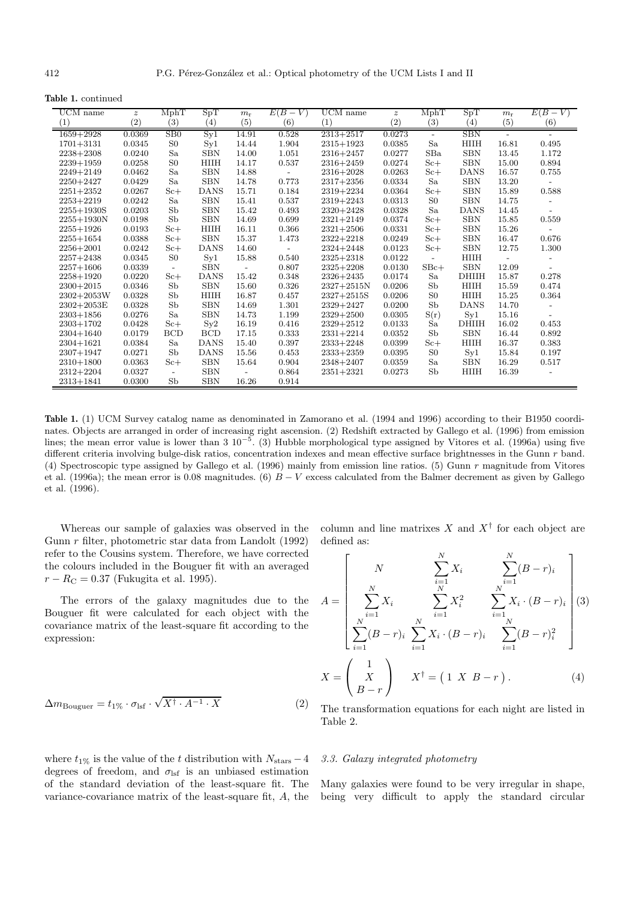**Table 1.** continued

| UCM name       | $\boldsymbol{z}$ | MphT                     | SpT               | $m_{\rm r}$      | $E(B-V)$                 | $\overline{UCM}$ name | $\boldsymbol{z}$  | MphT                     | SpT          | $m_{\rm r}$              | $E(B-V)$                 |
|----------------|------------------|--------------------------|-------------------|------------------|--------------------------|-----------------------|-------------------|--------------------------|--------------|--------------------------|--------------------------|
| (1)            | (2)              | (3)                      | $\left( 4\right)$ | $\left(5\right)$ | (6)                      | (1)                   | $\left( 2\right)$ | (3)                      | (4)          | (5)                      | (6)                      |
| $1659 + 2928$  | 0.0369           | SB0                      | $S_{y1}$          | 14.91            | 0.528                    | $2313 + 2517$         | 0.0273            | $\overline{\phantom{a}}$ | <b>SBN</b>   | $\overline{\phantom{a}}$ | $\overline{\phantom{a}}$ |
| $1701 + 3131$  | 0.0345           | S <sub>0</sub>           | Syl               | 14.44            | 1.904                    | $2315 + 1923$         | 0.0385            | Sa                       | HIIH         | 16.81                    | 0.495                    |
| $2238 + 2308$  | 0.0240           | Sa                       | <b>SBN</b>        | 14.00            | 1.051                    | $2316 + 2457$         | 0.0277            | SBa                      | <b>SBN</b>   | 13.45                    | 1.172                    |
| $2239 + 1959$  | 0.0258           | S <sub>0</sub>           | <b>HIIH</b>       | 14.17            | 0.537                    | $2316 + 2459$         | 0.0274            | $S_{c+}$                 | <b>SBN</b>   | 15.00                    | 0.894                    |
| $2249 + 2149$  | 0.0462           | Sa                       | <b>SBN</b>        | 14.88            |                          | $2316 + 2028$         | 0.0263            | $S_{c+}$                 | <b>DANS</b>  | 16.57                    | 0.755                    |
| $2250 + 2427$  | 0.0429           | Sa                       | <b>SBN</b>        | 14.78            | 0.773                    | $2317 + 2356$         | 0.0334            | Sa                       | <b>SBN</b>   | 13.20                    |                          |
| $2251 + 2352$  | 0.0267           | $S_{c+}$                 | <b>DANS</b>       | 15.71            | 0.184                    | $2319 + 2234$         | 0.0364            | $S_{c+}$                 | <b>SBN</b>   | 15.89                    | 0.588                    |
| $2253 + 2219$  | 0.0242           | Sa                       | <b>SBN</b>        | 15.41            | 0.537                    | $2319 + 2243$         | 0.0313            | S <sub>0</sub>           | <b>SBN</b>   | 14.75                    |                          |
| $2255 + 1930S$ | 0.0203           | Sb                       | <b>SBN</b>        | 15.42            | 0.493                    | $2320 + 2428$         | 0.0328            | Sa                       | <b>DANS</b>  | 14.45                    |                          |
| $2255 + 1930N$ | 0.0198           | Sb                       | <b>SBN</b>        | 14.69            | 0.699                    | $2321 + 2149$         | 0.0374            | $S_{c+}$                 | <b>SBN</b>   | 15.85                    | 0.559                    |
| $2255 + 1926$  | 0.0193           | $S_{c+}$                 | <b>HIIH</b>       | 16.11            | 0.366                    | $2321 + 2506$         | 0.0331            | $Sc+$                    | <b>SBN</b>   | 15.26                    |                          |
| $2255 + 1654$  | 0.0388           | $Sc+$                    | <b>SBN</b>        | 15.37            | 1.473                    | $2322 + 2218$         | 0.0249            | $Sc+$                    | <b>SBN</b>   | 16.47                    | 0.676                    |
| $2256 + 2001$  | 0.0242           | $S_{c+}$                 | <b>DANS</b>       | 14.60            | $\overline{\phantom{a}}$ | $2324 + 2448$         | 0.0123            | $S_{c+}$                 | <b>SBN</b>   | 12.75                    | 1.300                    |
| $2257 + 2438$  | 0.0345           | S <sub>0</sub>           | Syl               | 15.88            | 0.540                    | $2325 + 2318$         | 0.0122            | $\overline{\phantom{0}}$ | HIIH         |                          |                          |
| $2257 + 1606$  | 0.0339           | $\overline{\phantom{a}}$ | <b>SBN</b>        | $\mathbf{r}$     | 0.807                    | $2325 + 2208$         | 0.0130            | $SBc+$                   | <b>SBN</b>   | 12.09                    | $\overline{a}$           |
| $2258 + 1920$  | 0.0220           | $S_{c+}$                 | <b>DANS</b>       | 15.42            | 0.348                    | 2326+2435             | 0.0174            | Sa                       | <b>DHIIH</b> | 15.87                    | 0.278                    |
| $2300+2015$    | 0.0346           | Sb                       | <b>SBN</b>        | 15.60            | 0.326                    | $2327 + 2515N$        | 0.0206            | Sb                       | HIIH         | 15.59                    | 0.474                    |
| $2302 + 2053W$ | 0.0328           | Sb                       | <b>HIIH</b>       | 16.87            | 0.457                    | $2327 + 2515S$        | 0.0206            | S <sub>0</sub>           | <b>HIIH</b>  | 15.25                    | 0.364                    |
| $2302 + 2053E$ | 0.0328           | Sb                       | <b>SBN</b>        | 14.69            | 1.301                    | $2329 + 2427$         | 0.0200            | Sb                       | <b>DANS</b>  | 14.70                    |                          |
| $2303 + 1856$  | 0.0276           | Sa                       | <b>SBN</b>        | 14.73            | 1.199                    | $2329 + 2500$         | 0.0305            | S(r)                     | Syl          | 15.16                    |                          |
| $2303 + 1702$  | 0.0428           | $S_{c+}$                 | Sy2               | 16.19            | 0.416                    | $2329 + 2512$         | 0.0133            | Sa                       | <b>DHIIH</b> | 16.02                    | 0.453                    |
| $2304 + 1640$  | 0.0179           | <b>BCD</b>               | <b>BCD</b>        | 17.15            | 0.333                    | $2331 + 2214$         | 0.0352            | Sb                       | <b>SBN</b>   | 16.44                    | 0.892                    |
| $2304 + 1621$  | 0.0384           | Sa                       | <b>DANS</b>       | 15.40            | 0.397                    | $2333+2248$           | 0.0399            | $S_{c+}$                 | HIIH         | 16.37                    | 0.383                    |
| $2307 + 1947$  | 0.0271           | Sb                       | <b>DANS</b>       | 15.56            | 0.453                    | 2333+2359             | 0.0395            | S <sub>0</sub>           | $S_{V}1$     | 15.84                    | 0.197                    |
| $2310 + 1800$  | 0.0363           | $S_{c+}$                 | <b>SBN</b>        | 15.64            | 0.904                    | $2348 + 2407$         | 0.0359            | Sa                       | <b>SBN</b>   | 16.29                    | 0.517                    |
| 2312+2204      | 0.0327           | $\overline{\phantom{a}}$ | <b>SBN</b>        |                  | 0.864                    | $2351 + 2321$         | 0.0273            | Sb                       | HIIH         | 16.39                    |                          |
| 2313+1841      | 0.0300           | Sb                       | <b>SBN</b>        | 16.26            | 0.914                    |                       |                   |                          |              |                          |                          |

**Table 1.** (1) UCM Survey catalog name as denominated in Zamorano et al. (1994 and 1996) according to their B1950 coordinates. Objects are arranged in order of increasing right ascension. (2) Redshift extracted by Gallego et al. (1996) from emission lines; the mean error value is lower than 3  $10^{-5}$ . (3) Hubble morphological type assigned by Vitores et al. (1996a) using five different criteria involving bulge-disk ratios, concentration indexes and mean effective surface brightnesses in the Gunn r band. (4) Spectroscopic type assigned by Gallego et al. (1996) mainly from emission line ratios. (5) Gunn r magnitude from Vitores et al. (1996a); the mean error is 0.08 magnitudes. (6)  $B - V$  excess calculated from the Balmer decrement as given by Gallego et al. (1996).

Whereas our sample of galaxies was observed in the Gunn r filter, photometric star data from Landolt (1992) refer to the Cousins system. Therefore, we have corrected the colours included in the Bouguer fit with an averaged  $r - R_{\rm C} = 0.37$  (Fukugita et al. 1995).

The errors of the galaxy magnitudes due to the Bouguer fit were calculated for each object with the covariance matrix of the least-square fit according to the expression:

$$
\Delta m_{\text{Bouguer}} = t_{1\%} \cdot \sigma_{\text{lsf}} \cdot \sqrt{X^{\dagger} \cdot A^{-1} \cdot X} \tag{2}
$$

where  $t_{1\%}$  is the value of the t distribution with  $N_{\text{stars}} - 4$ degrees of freedom, and  $\sigma_{\text{lsf}}$  is an unbiased estimation of the standard deviation of the least-square fit. The variance-covariance matrix of the least-square fit, A, the column and line matrixes  $X$  and  $X^{\dagger}$  for each object are defined as:

 $\ddot{\phantom{0}}$ 

$$
A = \begin{bmatrix} N & \sum_{i=1}^{N} X_i & \sum_{i=1}^{N} (B - r)_i \\ \sum_{i=1}^{N} X_i & \sum_{i=1}^{N} X_i^2 & \sum_{i=1}^{N} X_i \cdot (B - r)_i \\ \sum_{i=1}^{N} (B - r)_i & \sum_{i=1}^{N} X_i \cdot (B - r)_i & \sum_{i=1}^{N} (B - r)_i^2 \end{bmatrix} (3)
$$

$$
X = \begin{pmatrix} 1 \\ X \\ B - r \end{pmatrix} X^{\dagger} = (1 \ X \ B - r).
$$
 (4)

The transformation equations for each night are listed in Table 2.

### 3.3. Galaxy integrated photometry

Many galaxies were found to be very irregular in shape, being very difficult to apply the standard circular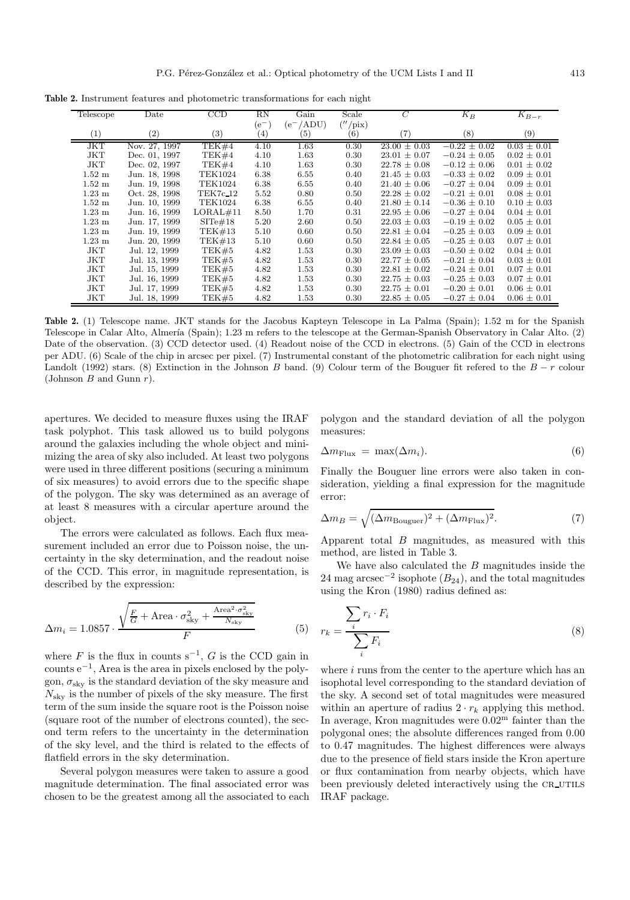**Table 2.** Instrument features and photometric transformations for each night

| Telescope         | Date              | CCD               | $_{\rm RN}$       | Gain              | Scale                 | C                 | $K_B$            | $K_{B-r}$         |
|-------------------|-------------------|-------------------|-------------------|-------------------|-----------------------|-------------------|------------------|-------------------|
|                   |                   |                   | $(e^-)$           | $(e^-/ADU)$       | $\frac{\gamma}{\rho}$ |                   |                  |                   |
| $\left( 1\right)$ | $\left( 2\right)$ | $\left( 3\right)$ | $\left( 4\right)$ | $\left( 5\right)$ | $\left( 6\right)$     | $\left( 7\right)$ | (8)              | $\left( 9\right)$ |
| JKT               | Nov. 27, 1997     | TEK#4             | 4.10              | 1.63              | 0.30                  | $23.00 \pm 0.03$  | $-0.22 \pm 0.02$ | $0.03 \pm 0.01$   |
| JKT               | Dec. 01, 1997     | TEK#4             | 4.10              | 1.63              | 0.30                  | $23.01 \pm 0.07$  | $-0.24 \pm 0.05$ | $0.02 \pm 0.01$   |
| JKT               | Dec. 02, 1997     | TEK#4             | 4.10              | 1.63              | 0.30                  | $22.78 \pm 0.08$  | $-0.12 \pm 0.06$ | $0.01 \pm 0.02$   |
| $1.52 \text{ m}$  | Jun. 18, 1998     | <b>TEK1024</b>    | 6.38              | 6.55              | 0.40                  | $21.45 \pm 0.03$  | $-0.33 \pm 0.02$ | $0.09 \pm 0.01$   |
| $1.52 \text{ m}$  | Jun. 19, 1998     | <b>TEK1024</b>    | 6.38              | 6.55              | 0.40                  | $21.40 \pm 0.06$  | $-0.27 \pm 0.04$ | $0.09 \pm 0.01$   |
| $1.23 \text{ m}$  | Oct. 28, 1998     | TEK7c_12          | 5.52              | 0.80              | 0.50                  | $22.28 \pm 0.02$  | $-0.21 \pm 0.01$ | $0.08 \pm 0.01$   |
| $1.52 \text{ m}$  | Jun. 10, 1999     | <b>TEK1024</b>    | 6.38              | 6.55              | 0.40                  | $21.80 \pm 0.14$  | $-0.36 \pm 0.10$ | $0.10 \pm 0.03$   |
| $1.23 \text{ m}$  | Jun. 16, 1999     | LORAL#11          | 8.50              | 1.70              | 0.31                  | $22.95 \pm 0.06$  | $-0.27 \pm 0.04$ | $0.04 \pm 0.01$   |
| $1.23 \text{ m}$  | Jun. 17, 1999     | $SITe\#18$        | 5.20              | 2.60              | 0.50                  | $22.03 \pm 0.03$  | $-0.19 \pm 0.02$ | $0.05 \pm 0.01$   |
| $1.23 \text{ m}$  | Jun. 19, 1999     | TEK#13            | 5.10              | 0.60              | 0.50                  | $22.81 \pm 0.04$  | $-0.25 \pm 0.03$ | $0.09 \pm 0.01$   |
| $1.23 \text{ m}$  | Jun. 20, 1999     | TEK#13            | 5.10              | 0.60              | 0.50                  | $22.84 \pm 0.05$  | $-0.25 \pm 0.03$ | $0.07 \pm 0.01$   |
| JKT               | Jul. 12, 1999     | TEK#5             | 4.82              | 1.53              | 0.30                  | $23.09 \pm 0.03$  | $-0.50 \pm 0.02$ | $0.04 \pm 0.01$   |
| JKT               | Jul. 13, 1999     | TEK#5             | 4.82              | 1.53              | 0.30                  | $22.77 \pm 0.05$  | $-0.21 \pm 0.04$ | $0.03 \pm 0.01$   |
| <b>JKT</b>        | Jul. 15, 1999     | TEK#5             | 4.82              | 1.53              | 0.30                  | $22.81 \pm 0.02$  | $-0.24 \pm 0.01$ | $0.07 \pm 0.01$   |
| JKT               | Jul. 16, 1999     | TEK#5             | 4.82              | 1.53              | 0.30                  | $22.75 \pm 0.03$  | $-0.25 \pm 0.03$ | $0.07 \pm 0.01$   |
| JKT               | Jul. 17, 1999     | TEK#5             | 4.82              | 1.53              | 0.30                  | $22.75 \pm 0.01$  | $-0.20 \pm 0.01$ | $0.06 \pm 0.01$   |
| JKT               | Jul. 18, 1999     | TEK#5             | 4.82              | 1.53              | 0.30                  | $22.85 \pm 0.05$  | $-0.27 \pm 0.04$ | $0.06 \pm 0.01$   |

**Table 2.** (1) Telescope name. JKT stands for the Jacobus Kapteyn Telescope in La Palma (Spain); 1.52 m for the Spanish Telescope in Calar Alto, Almería (Spain); 1.23 m refers to the telescope at the German-Spanish Observatory in Calar Alto. (2) Date of the observation. (3) CCD detector used. (4) Readout noise of the CCD in electrons. (5) Gain of the CCD in electrons per ADU. (6) Scale of the chip in arcsec per pixel. (7) Instrumental constant of the photometric calibration for each night using Landolt (1992) stars. (8) Extinction in the Johnson B band. (9) Colour term of the Bouguer fit refered to the  $B - r$  colour (Johnson  $B$  and Gunn  $r$ ).

apertures. We decided to measure fluxes using the IRAF task polyphot. This task allowed us to build polygons around the galaxies including the whole object and minimizing the area of sky also included. At least two polygons were used in three different positions (securing a minimum of six measures) to avoid errors due to the specific shape of the polygon. The sky was determined as an average of at least 8 measures with a circular aperture around the object.

The errors were calculated as follows. Each flux measurement included an error due to Poisson noise, the uncertainty in the sky determination, and the readout noise of the CCD. This error, in magnitude representation, is described by the expression:

$$
\Delta m_i = 1.0857 \cdot \frac{\sqrt{\frac{F}{G} + \text{Area} \cdot \sigma_{\text{sky}}^2 + \frac{\text{Area}^2 \cdot \sigma_{\text{sky}}^2}{N_{\text{sky}}}}{F}
$$
(5)

where F is the flux in counts  $s^{-1}$ , G is the CCD gain in counts e−<sup>1</sup>, Area is the area in pixels enclosed by the polygon,  $\sigma_{\rm sky}$  is the standard deviation of the sky measure and  $N_{\rm sky}$  is the number of pixels of the sky measure. The first term of the sum inside the square root is the Poisson noise (square root of the number of electrons counted), the second term refers to the uncertainty in the determination of the sky level, and the third is related to the effects of flatfield errors in the sky determination.

Several polygon measures were taken to assure a good magnitude determination. The final associated error was chosen to be the greatest among all the associated to each polygon and the standard deviation of all the polygon measures:

$$
\Delta m_{\text{Flux}} = \max(\Delta m_i). \tag{6}
$$

Finally the Bouguer line errors were also taken in consideration, yielding a final expression for the magnitude error:

$$
\Delta m_B = \sqrt{(\Delta m_{\text{Bouguer}})^2 + (\Delta m_{\text{Flux}})^2}.
$$
 (7)

Apparent total  $B$  magnitudes, as measured with this method, are listed in Table 3.

We have also calculated the  $B$  magnitudes inside the 24 mag arcsec<sup>-2</sup> isophote  $(B_{24})$ , and the total magnitudes using the Kron (1980) radius defined as:

$$
r_k = \frac{\sum_i r_i \cdot F_i}{\sum_i F_i} \tag{8}
$$

where i runs from the center to the aperture which has an isophotal level corresponding to the standard deviation of the sky. A second set of total magnitudes were measured within an aperture of radius  $2 \cdot r_k$  applying this method. In average, Kron magnitudes were  $0.02<sup>m</sup>$  fainter than the polygonal ones; the absolute differences ranged from 0.00 to 0.47 magnitudes. The highest differences were always due to the presence of field stars inside the Kron aperture or flux contamination from nearby objects, which have been previously deleted interactively using the CR\_UTILS IRAF package.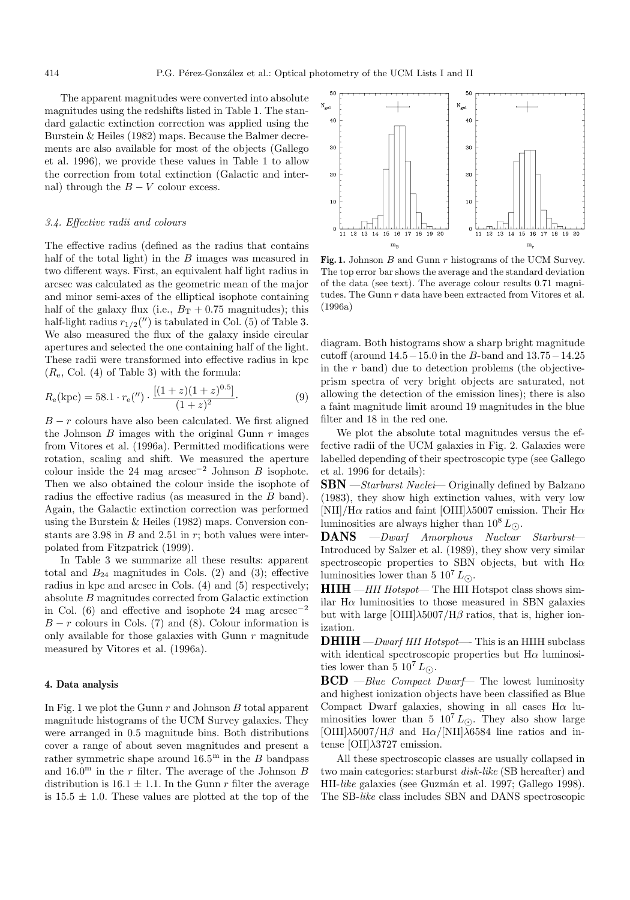The apparent magnitudes were converted into absolute magnitudes using the redshifts listed in Table 1. The standard galactic extinction correction was applied using the Burstein & Heiles (1982) maps. Because the Balmer decrements are also available for most of the objects (Gallego et al. 1996), we provide these values in Table 1 to allow the correction from total extinction (Galactic and internal) through the  $B - V$  colour excess.

## 3.4. Effective radii and colours

The effective radius (defined as the radius that contains half of the total light) in the  $B$  images was measured in two different ways. First, an equivalent half light radius in arcsec was calculated as the geometric mean of the major and minor semi-axes of the elliptical isophote containing half of the galaxy flux (i.e.,  $B_T + 0.75$  magnitudes); this half-light radius  $r_{1/2}$ (") is tabulated in Col. (5) of Table 3. We also measured the flux of the galaxy inside circular apertures and selected the one containing half of the light. These radii were transformed into effective radius in kpc  $(R_e, Col. (4)$  of Table 3) with the formula:

$$
R_{e}(\text{kpc}) = 58.1 \cdot r_{e}('') \cdot \frac{[(1+z)(1+z)^{0.5}]}{(1+z)^{2}}.
$$
 (9)

 $B - r$  colours have also been calculated. We first aligned the Johnson  $B$  images with the original Gunn  $r$  images from Vitores et al. (1996a). Permitted modifications were rotation, scaling and shift. We measured the aperture colour inside the 24 mag  $\arccos\left(\frac{1}{2}\right)$  Johnson B isophote. Then we also obtained the colour inside the isophote of radius the effective radius (as measured in the B band). Again, the Galactic extinction correction was performed using the Burstein & Heiles (1982) maps. Conversion constants are 3.98 in  $B$  and 2.51 in  $r$ ; both values were interpolated from Fitzpatrick (1999).

In Table 3 we summarize all these results: apparent total and  $B_{24}$  magnitudes in Cols. (2) and (3); effective radius in kpc and arcsec in Cols. (4) and (5) respectively; absolute B magnitudes corrected from Galactic extinction in Col. (6) and effective and isophote 24 mag  $\arccos\frac{e^{-2}}{2}$  $B - r$  colours in Cols. (7) and (8). Colour information is only available for those galaxies with Gunn  $r$  magnitude measured by Vitores et al. (1996a).

#### **4. Data analysis**

In Fig. 1 we plot the Gunn  $r$  and Johnson  $B$  total apparent magnitude histograms of the UCM Survey galaxies. They were arranged in 0.5 magnitude bins. Both distributions cover a range of about seven magnitudes and present a rather symmetric shape around  $16.5^{\mathrm{m}}$  in the B bandpass and  $16.0^{\text{m}}$  in the r filter. The average of the Johnson B distribution is 16.1  $\pm$  1.1. In the Gunn r filter the average is  $15.5 \pm 1.0$ . These values are plotted at the top of the



Fig. 1. Johnson B and Gunn r histograms of the UCM Survey. The top error bar shows the average and the standard deviation of the data (see text). The average colour results 0.71 magnitudes. The Gunn  $r$  data have been extracted from Vitores et al. (1996a)

diagram. Both histograms show a sharp bright magnitude cutoff (around 14.5−15.0 in the B-band and 13.75−14.25 in the  $r$  band) due to detection problems (the objectiveprism spectra of very bright objects are saturated, not allowing the detection of the emission lines); there is also a faint magnitude limit around 19 magnitudes in the blue filter and 18 in the red one.

We plot the absolute total magnitudes versus the effective radii of the UCM galaxies in Fig. 2. Galaxies were labelled depending of their spectroscopic type (see Gallego et al. 1996 for details):

**SBN** — Starburst Nuclei— Originally defined by Balzano (1983), they show high extinction values, with very low [NII]/H $\alpha$  ratios and faint [OIII] $\lambda$ 5007 emission. Their H $\alpha$ luminosities are always higher than  $10^8 L_{\odot}$ .<br>**DANS** — *Dwarf* Amorphous Nuclear

**DANS** —Dwarf Amorphous Nuclear Starburst— Introduced by Salzer et al. (1989), they show very similar spectroscopic properties to SBN objects, but with  $H\alpha$ luminosities lower than 5  $10^7 L_{\odot}$ .

**HIIH** —HII Hotspot— The HII Hotspot class shows similar H $\alpha$  luminosities to those measured in SBN galaxies but with large  $\left[ \text{OIII} \right] \lambda 5007 / \text{H} \beta$  ratios, that is, higher ionization.

 $DHHH - Dwarf HII Hotspot \text{---}$  This is an HIIH subclass with identical spectroscopic properties but  $H\alpha$  luminosities lower than 5  $10^7 L_{\odot}$ .

**BCD** —Blue Compact Dwarf— The lowest luminosity and highest ionization objects have been classified as Blue Compact Dwarf galaxies, showing in all cases  $H\alpha$  luminosities lower than 5  $10^7 L_{\odot}$ . They also show large  $[OIII]\lambda5007/H\beta$  and  $H\alpha/[NII]\lambda6584$  line ratios and intense [OII]λ3727 emission.

All these spectroscopic classes are usually collapsed in two main categories: starburst disk-like (SB hereafter) and HII-like galaxies (see Guzmán et al. 1997; Gallego 1998). The SB-like class includes SBN and DANS spectroscopic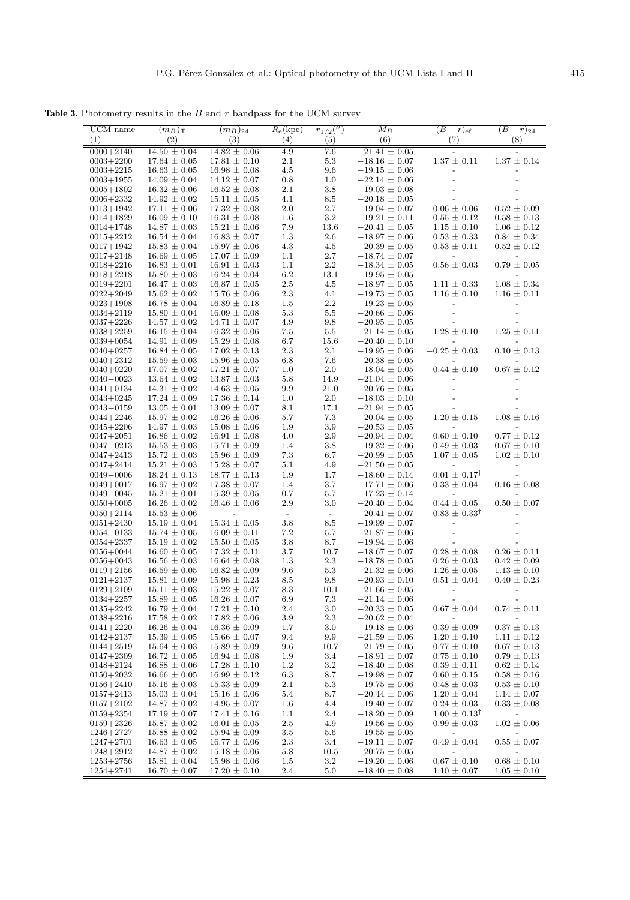**Table 3.** Photometry results in the  $B$  and  $r$  bandpass for the UCM survey

| UCM name<br>(1)                | $(m_B)$<br>(2)                       | $(m_B)_{24}$<br>(3)                    | $R_e(\mathrm{kpc})$<br>(4) | $r_{1/2}('')$<br>(5)     | $M_B$<br>(6)                           | $(B-r)_{\text{ef}}$<br>(7)                  | $(B - r)_{24}$<br>(8)                       |
|--------------------------------|--------------------------------------|----------------------------------------|----------------------------|--------------------------|----------------------------------------|---------------------------------------------|---------------------------------------------|
| $0000 + 2140$                  | $14.50 \pm 0.04$                     | $14.82 \pm 0.06$                       | 4.9                        | 7.6                      | $-21.41 \pm 0.05$                      |                                             |                                             |
| $0003 + 2200$                  | $17.64 \pm 0.05$                     | $17.81 \pm 0.10$                       | 2.1                        | 5.3                      | $-18.16 \pm 0.07$                      | $1.37 \pm 0.11$                             | $1.37 \pm 0.14$                             |
| $0003 + 2215$                  | $16.63 \pm 0.05$                     | $16.98 \pm 0.08$                       | 4.5                        | 9.6                      | $-19.15 \pm 0.06$                      |                                             |                                             |
| $0003 + 1955$                  | $14.09 \pm 0.04$                     | $14.12 \pm 0.07$                       | 0.8                        | 1.0                      | $-22.14 \pm 0.06$                      |                                             |                                             |
| $0005 + 1802$                  | $16.32 \pm 0.06$                     | $16.52 \pm 0.08$                       | 2.1                        | $3.8\,$                  | $-19.03 \pm 0.08$                      |                                             |                                             |
| $0006 + 2332$                  | $14.92 \pm 0.02$                     | $15.11 \pm 0.05$                       | 4.1                        | 8.5                      | $-20.18 \pm 0.05$                      |                                             |                                             |
| $0013 + 1942$                  | $17.11 \pm 0.06$                     | $17.32 \pm 0.08$                       | $2.0\,$                    | 2.7                      | $-19.04 \pm 0.07$                      | $-0.06 \pm 0.06$                            | $0.52 \pm 0.09$                             |
| $0014 + 1829$                  | $16.09 \pm 0.10$                     | $16.31 \pm 0.08$                       | 1.6<br>7.9                 | $3.2\,$                  | $-19.21 \pm 0.11$                      | $0.55 \pm 0.12$                             | $0.58 \pm 0.13$                             |
| $0014 + 1748$<br>$0015 + 2212$ | $14.87 \pm 0.03$<br>$16.54 \pm 0.04$ | $15.21 \pm 0.06$<br>$16.83 \pm 0.07$   | 1.3                        | 13.6<br>$2.6\,$          | $-20.41 \pm 0.05$<br>$-18.97 \pm 0.06$ | $1.15 \pm 0.10$<br>$0.53 \pm 0.33$          | $1.06 \pm 0.12$<br>$0.84 \pm 0.34$          |
| $0017 + 1942$                  | $15.83 \pm 0.04$                     | $15.97 \pm 0.06$                       | 4.3                        | 4.5                      | $-20.39 \pm 0.05$                      | $0.53 \pm 0.11$                             | $0.52 \pm 0.12$                             |
| $0017 + 2148$                  | $16.69 \pm 0.05$                     | $17.07 \pm 0.09$                       | 1.1                        | 2.7                      | $-18.74 \pm 0.07$                      |                                             |                                             |
| $0018 + 2216$                  | $16.83 \pm 0.01$                     | $16.91 \pm 0.03$                       | 1.1                        | 2.2                      | $-18.34 \pm 0.05$                      | $0.56 \pm 0.03$                             | $0.79 \pm 0.05$                             |
| $0018 + 2218$                  | $15.80 \pm 0.03$                     | $16.24 \pm 0.04$                       | 6.2                        | 13.1                     | $-19.95 \pm 0.05$                      |                                             |                                             |
| $0019 + 2201$                  | $16.47 \pm 0.03$                     | $16.87 \pm 0.05$                       | 2.5                        | 4.5                      | $-18.97 \pm 0.05$                      | $1.11 \pm 0.33$                             | $1.08 \pm 0.34$                             |
| $0022 + 2049$                  | $15.62 \pm 0.02$                     | $15.76 \pm 0.06$                       | 2.3                        | 4.1                      | $-19.73 \pm 0.05$                      | $1.16 \pm 0.10$                             | $1.16 \pm 0.11$                             |
| $0023 + 1908$                  | $16.78 \pm 0.04$                     | $16.89 \pm 0.18$                       | 1.5                        | $2.2\,$                  | $-19.23 \pm 0.05$                      |                                             |                                             |
| $0034 + 2119$                  | $15.80 \pm 0.04$                     | $16.09 \pm 0.08$                       | 5.3                        | 5.5                      | $-20.66 \pm 0.06$                      |                                             |                                             |
| $0037 + 2226$                  | $14.57 \pm 0.02$                     | $14.71 \pm 0.07$                       | 4.9                        | 9.8                      | $-20.95 \pm 0.05$                      |                                             |                                             |
| $0038 + 2259$                  | $16.15 \pm 0.04$                     | $16.32 \pm 0.06$                       | 7.5                        | 5.5                      | $-21.14 \pm 0.05$                      | $1.28 \pm 0.10$                             | $1.25 \pm 0.11$                             |
| $0039 + 0054$                  | $14.91 \pm 0.09$                     | $15.29 \pm 0.08$                       | 6.7<br>2.3                 | 15.6<br>2.1              | $-20.40 \pm 0.10$                      | $-0.25\,\pm\,0.03$                          | $0.10\,\pm\,0.13$                           |
| $0040 + 0257$<br>$0040 + 2312$ | $16.84 \pm 0.05$<br>$15.59 \pm 0.03$ | $17.02 \pm 0.13$<br>$15.96 \pm 0.05$   | 6.8                        | 7.6                      | $-19.95 \pm 0.06$<br>$-20.38 \pm 0.05$ |                                             |                                             |
| $0040 + 0220$                  | $17.07 \pm 0.02$                     | $17.21\,\pm\,0.07$                     | 1.0                        | 2.0                      | $-18.04 \pm 0.05$                      | $0.44\,\pm\,0.10$                           | $0.67\,\pm\,0.12$                           |
| $0040 - 0023$                  | $13.64 \pm 0.02$                     | $13.87 \pm 0.03$                       | 5.8                        | 14.9                     | $-21.04 \pm 0.06$                      |                                             |                                             |
| $0041 + 0134$                  | $14.31 \pm 0.02$                     | $14.63 \pm 0.05$                       | 9.9                        | 21.0                     | $-20.76 \pm 0.05$                      |                                             |                                             |
| $0043 + 0245$                  | $17.24 \pm 0.09$                     | $17.36 \pm 0.14$                       | 1.0                        | 2.0                      | $-18.03 \pm 0.10$                      |                                             |                                             |
| $0043 - 0159$                  | $13.05 \pm 0.01$                     | $13.09 \pm 0.07$                       | 8.1                        | 17.1                     | $-21.94 \pm 0.05$                      |                                             |                                             |
| $0044 + 2246$                  | $15.97 \pm 0.02$                     | $16.26 \pm 0.06$                       | 5.7                        | 7.3                      | $-20.04 \pm 0.05$                      | $1.20 \pm 0.15$                             | $1.08 \pm 0.16$                             |
| $0045 + 2206$                  | $14.97 \pm 0.03$                     | $15.08 \pm 0.06$                       | 1.9                        | 3.9                      | $-20.53 \pm 0.05$                      |                                             |                                             |
| $0047 + 2051$                  | $16.86 \pm 0.02$                     | $16.91 \pm 0.08$                       | 4.0                        | 2.9                      | $-20.94 \pm 0.04$                      | $0.60 \pm 0.10$                             | $0.77 \pm 0.12$                             |
| $0047 - 0213$                  | $15.53 \pm 0.03$                     | $15.71 \pm 0.09$                       | 1.4                        | 3.8                      | $-19.32 \pm 0.06$                      | $0.49 \pm 0.03$                             | $0.67 \pm 0.10$                             |
| $0047 + 2413$<br>$0047 + 2414$ | $15.72 \pm 0.03$<br>$15.21 \pm 0.03$ | $15.96 \pm 0.09$<br>$15.28\,\pm\,0.07$ | 7.3<br>5.1                 | 6.7<br>4.9               | $-20.99 \pm 0.05$<br>$-21.50 \pm 0.05$ | $1.07 \pm 0.05$                             | $1.02 \pm 0.10$                             |
| $0049 - 0006$                  | $18.24 \pm 0.13$                     | $18.77 \pm 0.13$                       | 1.9                        | 1.7                      | $-18.60 \pm 0.14$                      | $0.01 \pm 0.17^{\dagger}$                   |                                             |
| $0049 + 0017$                  | $16.97 \pm 0.02$                     | $17.38 \pm 0.07$                       | 1.4                        | 3.7                      | $-17.71 \pm 0.06$                      | $-0.33 \pm 0.04$                            | $0.16\,\pm\,0.08$                           |
| $0049 - 0045$                  | $15.21 \pm 0.01$                     | $15.39 \pm 0.05$                       | 0.7                        | 5.7                      | $-17.23 \pm 0.14$                      |                                             |                                             |
| $0050 + 0005$                  | $16.26 \pm 0.02$                     | $16.46 \pm 0.06$                       | 2.9                        | 3.0                      | $-20.40 \pm 0.04$                      | $0.44\,\pm\,0.05$                           | $0.50 \pm 0.07$                             |
| $0050 + 2114$                  | $15.53 \pm 0.06$                     | $\overline{a}$                         | $\overline{\phantom{a}}$   | $\overline{\phantom{a}}$ | $-20.41 \pm 0.07$                      | $0.83 \pm 0.33^{\dagger}$                   |                                             |
| $0051 + 2430$                  | $15.19 \pm 0.04$                     | $15.34 \pm 0.05$                       | 3.8                        | 8.5                      | $-19.99 \pm 0.07$                      |                                             |                                             |
| $0054 - 0133$                  | $15.74 \pm 0.05$                     | $16.09 \pm 0.11$                       | 7.2                        | 5.7                      | $-21.87 \pm 0.06$                      | $\overline{a}$                              |                                             |
| $0054 + 2337$                  | $15.19 \pm 0.02$                     | $15.50 \pm 0.05$                       | 3.8                        | 8.7                      | $-19.94 \pm 0.06$                      |                                             |                                             |
| $0056 + 0044$                  | $16.60 \pm 0.05$                     | $17.32 \pm 0.11$                       | 3.7                        | 10.7                     | $-18.67 \pm 0.07$                      | $0.28 \pm 0.08$                             | $0.26 \pm 0.11$                             |
| $0056 + 0043$                  | $16.56 \pm 0.03$                     | $16.64 \pm 0.08$                       | 1.3                        | 2.3                      | $-18.78 \pm 0.05$                      | $0.26 \pm 0.03$                             | $0.42 \pm 0.09$                             |
| $0119 + 2156$                  | $16.59 \pm 0.05$<br>$15.81 \pm 0.09$ | $16.82 \pm 0.09$                       | 9.6                        | 5.3                      | $-21.32 \pm 0.06$                      | $1.26 \pm 0.05$                             | $1.13 \pm 0.10$                             |
| $0121 + 2137$<br>$0129 + 2109$ | $15.11 \pm 0.03$                     | $15.98 \pm 0.23$<br>$15.22 \pm 0.07$   | 8.5<br>8.3                 | 9.8<br>10.1              | $-20.93 \pm 0.10$<br>$-21.66 \pm 0.05$ | $0.51 \pm 0.04$<br>$\overline{\phantom{0}}$ | $0.40 \pm 0.23$<br>$\overline{\phantom{a}}$ |
| $0134 + 2257$                  | $15.89 \pm 0.05$                     | $16.26 \pm 0.07$                       | 6.9                        | $7.3\,$                  | $-21.14 \pm 0.06$                      |                                             |                                             |
| $0135 + 2242$                  | $16.79\,\pm\,0.04$                   | $17.21 \pm 0.10$                       | 2.4                        | 3.0                      | $-20.33 \pm 0.05$                      | $0.67 \pm 0.04$                             | $0.74 \pm 0.11$                             |
| $0138 + 2216$                  | $17.58 \pm 0.02$                     | $17.82 \pm 0.06$                       | 3.9                        | 2.3                      | $-20.62 \pm 0.04$                      |                                             |                                             |
| $0141 + 2220$                  | $16.26 \pm 0.04$                     | $16.36 \pm 0.09$                       | 1.7                        | 3.0                      | $-19.18 \pm 0.06$                      | $0.39 \pm 0.09$                             | $0.37 \pm 0.13$                             |
| $0142 + 2137$                  | $15.39 \pm 0.05$                     | $15.66 \pm 0.07$                       | 9.4                        | 9.9                      | $-21.59 \pm 0.06$                      | $1.20\,\pm\,0.10$                           | $1.11\,\pm\,0.12$                           |
| $0144 + 2519$                  | $15.64\,\pm\,0.03$                   | $15.89 \pm 0.09$                       | 9.6                        | 10.7                     | $-21.79 \pm 0.05$                      | $0.77 \pm 0.10$                             | $0.67 \pm 0.13$                             |
| $0147 + 2309$                  | $16.72\,\pm\,0.05$                   | $16.94 \pm 0.08$                       | 1.9                        | 3.4                      | $-18.91 \pm 0.07$                      | $0.75 \pm 0.10$                             | $0.79\,\pm\,0.13$                           |
| $0148 + 2124$                  | $16.88 \pm 0.06$                     | $17.28 \pm 0.10$                       | 1.2                        | 3.2                      | $-18.40 \pm 0.08$                      | $0.39 \pm 0.11$                             | $0.62\,\pm\,0.14$                           |
| $0150 + 2032$                  | $16.66 \pm 0.05$                     | $16.99 \pm 0.12$                       | 6.3                        | 8.7                      | $-19.98 \pm 0.07$                      | $0.60 \pm 0.15$                             | $0.58\,\pm\,0.16$                           |
| $0156 + 2410$                  | $15.16 \pm 0.03$                     | $15.33 \pm 0.09$                       | 2.1                        | $5.3\,$                  | $-19.75 \pm 0.06$<br>$-20.44 \pm 0.06$ | $0.48 \pm 0.03$<br>$1.20\,\pm\,0.04$        | $0.53 \pm 0.10$                             |
| $0157 + 2413$<br>$0157 + 2102$ | $15.03 \pm 0.04$<br>$14.87 \pm 0.02$ | $15.16 \pm 0.06$<br>$14.95 \pm 0.07$   | 5.4<br>1.6                 | 8.7<br>4.4               | $-19.40 \pm 0.07$                      | $0.24 \pm 0.03$                             | $1.14 \pm 0.07$<br>$0.33 \pm 0.08$          |
| $0159 + 2354$                  | $17.19 \pm 0.07$                     | $17.41 \pm 0.16$                       | 1.1                        | 2.4                      | $-18.20 \pm 0.09$                      | $1.00 \pm 0.13^{\dagger}$                   |                                             |
| $0159 + 2326$                  | $15.87 \pm 0.02$                     | $16.01 \pm 0.05$                       | $2.5\,$                    | 4.9                      | $-19.56 \pm 0.05$                      | $0.99 \pm 0.03$                             | $1.02 \pm 0.06$                             |
| $1246 + 2727$                  | $15.88 \pm 0.02$                     | $15.94 \pm 0.09$                       | 3.5                        | 5.6                      | $-19.55 \pm 0.05$                      |                                             |                                             |
| $1247 + 2701$                  | $16.63 \pm 0.05$                     | $16.77 \pm 0.06$                       | 2.3                        | 3.4                      | $-19.11 \pm 0.07$                      | $0.49 \pm 0.04$                             | $0.55 \pm 0.07$                             |
| $1248 + 2912$                  | $14.87 \pm 0.02$                     | $15.18 \pm 0.06$                       | 5.8                        | 10.5                     | $-20.75 \pm 0.05$                      |                                             |                                             |
| $1253 + 2756$                  | $15.81 \pm 0.04$                     | $15.98 \pm 0.06$                       | 1.5                        | $3.2\,$                  | $-19.20 \pm 0.06$                      | $0.67 \pm 0.10$                             | $0.68 \pm 0.10$                             |
| $1254 + 2741$                  | $16.70 \pm 0.07$                     | $17.20 \pm 0.10$                       | 2.4                        | 5.0                      | $-18.40 \pm 0.08$                      | $1.10 \pm 0.07$                             | $1.05\,\pm\,0.10$                           |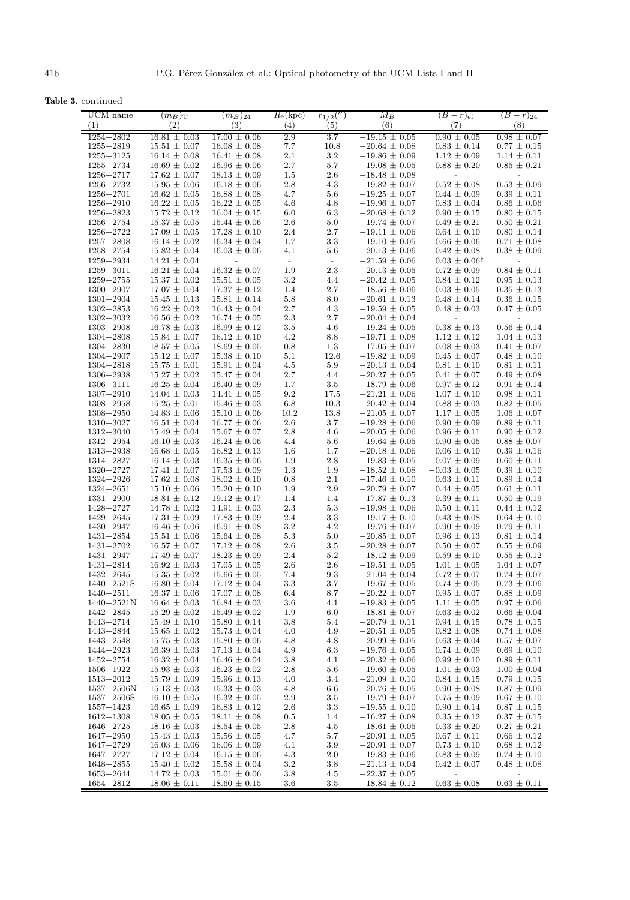**Table 3.** continued

| UCM name                       | $(m_B)_{\rm T}$                      | $(m_B)_{24}$                         | $R_e$ (kpc) | $r_{1/2}$ <sup>(")</sup> | $M_B$                                  | $(B-r)ef$                                   | $(B - r)_{24}$                     |
|--------------------------------|--------------------------------------|--------------------------------------|-------------|--------------------------|----------------------------------------|---------------------------------------------|------------------------------------|
| (1)                            | (2)                                  | (3)                                  | (4)         | (5)                      | (6)                                    | (7)                                         | (8)                                |
| $1254 + 2802$                  | $16.81 \pm 0.03$                     | $17.00 \pm 0.06$                     | 2.9         | 3.7                      | $-19.15 \pm 0.05$                      | $0.90 \pm 0.05$                             | $0.98 \pm 0.07$                    |
| $1255 + 2819$                  | $15.51 \pm 0.07$                     | $16.08 \pm 0.08$                     | 7.7         | 10.8                     | $-20.64 \pm 0.08$                      | $0.83 \pm 0.14$                             | $0.77 \pm 0.15$                    |
| $1255 + 3125$                  | $16.14 \pm 0.08$                     | $16.41 \pm 0.08$                     | 2.1         | $3.2\,$                  | $-19.86 \pm 0.09$                      | $1.12 \pm 0.09$                             | $1.14 \pm 0.11$                    |
| $1255 + 2734$                  | $16.69 \pm 0.02$                     | $16.96 \pm 0.06$                     | $2.7\,$     | $5.7\,$                  | $-19.08 \pm 0.05$                      | $0.88 \pm 0.20$                             | $0.85 \pm 0.21$                    |
| $1256 + 2717$                  | $17.62 \pm 0.07$                     | $18.13 \pm 0.09$                     | 1.5         | 2.6                      | $-18.48 \pm 0.08$                      | $\qquad \qquad -$                           | $\overline{\phantom{0}}$           |
| $1256 + 2732$                  | $15.95 \pm 0.06$                     | $16.18 \pm 0.06$                     | $2.8\,$     | 4.3                      | $-19.82 \pm 0.07$                      | $0.52 \pm 0.08$                             | $0.53\,\pm\,0.09$                  |
| $1256 + 2701$                  | $16.62 \pm 0.05$                     | $16.88 \pm 0.08$                     | 4.7         | 5.6                      | $-19.25 \pm 0.07$                      | $0.44 \pm 0.09$                             | $0.39 \pm 0.11$                    |
| $1256 + 2910$                  | $16.22 \pm 0.05$                     | $16.22 \pm 0.05$                     | 4.6         | 4.8                      | $-19.96 \pm 0.07$                      | $0.83 \pm 0.04$                             | $0.86 \pm 0.06$                    |
| $1256 + 2823$                  | $15.72 \pm 0.12$                     | $16.04 \pm 0.15$                     | $6.0\,$     | 6.3                      | $-20.68 \pm 0.12$                      | $0.90 \pm 0.15$                             | $0.80 \pm 0.15$                    |
| $1256 + 2754$                  | $15.37 \pm 0.05$                     | $15.44 \pm 0.06$                     | $2.6\,$     | 5.0                      | $-19.74 \pm 0.07$                      | $0.49 \pm 0.21$                             | $0.50 \pm 0.21$                    |
| $1256 + 2722$                  | $17.09 \pm 0.05$                     | $17.28 \pm 0.10$                     | $2.4\,$     | $2.7\,$                  | $-19.11 \pm 0.06$                      | $0.64 \pm 0.10$                             | $0.80 \pm 0.14$                    |
| $1257 + 2808$                  | $16.14 \pm 0.02$                     | $16.34 \pm 0.04$                     | 1.7         | 3.3                      | $-19.10 \pm 0.05$                      | $0.66 \pm 0.06$                             | $0.71 \pm 0.08$                    |
| $1258 + 2754$                  | $15.82 \pm 0.04$                     | $16.03 \pm 0.06$                     | 4.1         | 5.6                      | $-20.13 \pm 0.06$                      | $0.42 \pm 0.08$                             | $0.38 \pm 0.09$                    |
| $1259 + 2934$                  | $14.21 \pm 0.04$                     | $\overline{a}$                       | $\sim$      | $\overline{\phantom{a}}$ | $-21.59 \pm 0.06$                      | $0.03 \pm 0.06^{\dagger}$                   | $\overline{\phantom{a}}$           |
| $1259 + 3011$                  | $16.21 \pm 0.04$                     | $16.32 \pm 0.07$                     | 1.9         | 2.3                      | $-20.13 \pm 0.05$                      | $0.72 \pm 0.09$                             | $0.84 \pm 0.11$                    |
| $1259 + 2755$                  | $15.37 \pm 0.02$                     | $15.51 \pm 0.05$                     | $3.2\,$     | 4.4                      | $-20.42 \pm 0.05$                      | $0.84 \pm 0.12$                             | $0.95 \pm 0.13$                    |
| $1300 + 2907$                  | $17.07 \pm 0.04$                     | $17.37 \pm 0.12$                     | 1.4         | 2.7                      | $-18.56 \pm 0.06$                      | $0.03 \pm 0.05$                             | $0.35 \pm 0.13$                    |
| $1301 + 2904$                  | $15.45 \pm 0.13$                     | $15.81 \pm 0.14$                     | $5.8\,$     | 8.0                      | $-20.61 \pm 0.13$                      | $0.48 \pm 0.14$                             | $0.36 \pm 0.15$                    |
| $1302 + 2853$                  | $16.22 \pm 0.02$                     | $16.43 \pm 0.04$                     | $2.7\,$     | 4.3                      | $-19.59 \pm 0.05$                      | $0.48 \pm 0.03$                             | $0.47 \pm 0.05$                    |
| $1302 + 3032$                  | $16.56 \pm 0.02$                     | $16.74 \pm 0.05$                     | $2.3\,$     | 2.7                      | $-20.04 \pm 0.04$                      |                                             |                                    |
| $1303 + 2908$                  | $16.78 \pm 0.03$                     | $16.99 \pm 0.12$                     | $3.5\,$     | 4.6                      | $-19.24\,\pm\,0.05$                    | $0.38 \pm 0.13$                             | $0.56 \pm 0.14$                    |
| $1304 + 2808$                  | $15.84 \pm 0.07$                     | $16.12 \pm 0.10$                     | $4.2\,$     | 8.8                      | $-19.71 \pm 0.08$                      | $1.12 \pm 0.12$                             | $1.04 \pm 0.13$                    |
| $1304 + 2830$                  | $18.57 \pm 0.05$                     | $18.69 \pm 0.05$                     | 0.8         | 1.3                      | $-17.05 \pm 0.07$                      | $-0.08 \pm 0.03$                            | $0.41 \pm 0.07$                    |
| $1304 + 2907$                  | $15.12 \pm 0.07$                     | $15.38 \pm 0.10$                     | $5.1\,$     | 12.6                     | $-19.82 \pm 0.09$                      | $0.45 \pm 0.07$                             | $0.48 \pm 0.10$                    |
| $1304 + 2818$                  | $15.75 \pm 0.01$                     | $15.91 \pm 0.04$                     | 4.5         | 5.9                      | $-20.13 \pm 0.04$                      | $0.81 \pm 0.10$                             | $0.81 \pm 0.11$                    |
| $1306 + 2938$                  | $15.27 \pm 0.02$                     | $15.47 \pm 0.04$                     | $2.7\,$     | 4.4                      | $-20.27 \pm 0.05$                      | $0.41 \pm 0.07$                             | $0.49 \pm 0.08$                    |
| $1306 + 3111$                  | $16.25 \pm 0.04$                     | $16.40 \pm 0.09$                     | 1.7         | $3.5\,$                  | $-18.79 \pm 0.06$                      | $0.97 \pm 0.12$                             | $0.91 \pm 0.14$                    |
| $1307 + 2910$                  | $14.04 \pm 0.03$                     | $14.41 \pm 0.05$                     | $\,9.2$     | 17.5                     | $-21.21 \pm 0.06$                      | $1.07 \pm 0.10$                             | $0.98 \pm 0.11$                    |
| $1308 + 2958$                  | $15.25 \pm 0.01$                     | $15.46 \pm 0.03$                     | $6.8\,$     | 10.3                     | $-20.42 \pm 0.04$                      | $0.88 \pm 0.03$                             | $0.82 \pm 0.05$                    |
| $1308 + 2950$                  | $14.83 \pm 0.06$                     | $15.10 \pm 0.06$                     | 10.2        | 13.8                     | $-21.05 \pm 0.07$                      | $1.17 \pm 0.05$                             | $1.06 \pm 0.07$                    |
| $1310 + 3027$                  | $16.51 \pm 0.04$                     | $16.77 \pm 0.06$                     | 2.6         | 3.7                      | $-19.28 \pm 0.06$                      | $0.90 \pm 0.09$                             | $0.89 \pm 0.11$                    |
| $1312 + 3040$                  | $15.49 \pm 0.04$                     | $15.67 \pm 0.07$                     | $2.8\,$     | 4.6                      | $-20.05 \pm 0.06$                      | $0.96 \pm 0.11$                             | $0.90 \pm 0.12$                    |
| $1312 + 2954$                  | $16.10 \pm 0.03$                     | $16.24 \pm 0.06$                     | 4.4         | 5.6                      | $-19.64 \pm 0.05$                      | $0.90 \pm 0.05$                             | $0.88 \pm 0.07$                    |
| $1313 + 2938$                  | $16.68 \pm 0.05$                     | $16.82 \pm 0.13$                     | $1.6\,$     | 1.7                      | $-20.18 \pm 0.06$                      | $0.06 \pm 0.10$                             | $0.39 \pm 0.16$                    |
| $1314 + 2827$                  | $16.14 \pm 0.03$                     | $16.35 \pm 0.06$                     | 1.9         | 2.8                      | $-19.83 \pm 0.05$                      | $0.07 \pm 0.09$                             | $0.60 \pm 0.11$                    |
| 1320+2727                      | $17.41 \pm 0.07$                     | $17.53 \pm 0.09$                     | 1.3         | 1.9                      | $-18.52 \pm 0.08$                      | $-0.03 \pm 0.05$                            | $0.39 \pm 0.10$                    |
| $1324 + 2926$                  | $17.62 \pm 0.08$                     | $18.02 \pm 0.10$                     | 0.8         | 2.1                      | $-17.46 \pm 0.10$                      | $0.63 \pm 0.11$                             | $0.89 \pm 0.14$                    |
| $1324 + 2651$<br>$1331 + 2900$ | $15.10 \pm 0.06$<br>$18.81 \pm 0.12$ | $15.20 \pm 0.10$<br>$19.12 \pm 0.17$ | 1.9<br>1.4  | 2.9<br>1.4               | $-20.79 \pm 0.07$<br>$-17.87 \pm 0.13$ | $0.44 \pm 0.05$<br>$0.39 \pm 0.11$          | $0.61 \pm 0.11$<br>$0.50 \pm 0.19$ |
| 1428+2727                      | $14.78 \pm 0.02$                     | $14.91 \pm 0.03$                     | $2.3\,$     | 5.3                      | $-19.98 \pm 0.06$                      | $0.50 \pm 0.11$                             | $0.44 \pm 0.12$                    |
| $1429 + 2645$                  | $17.31 \pm 0.09$                     | $17.83 \pm 0.09$                     | 2.4         | 3.3                      | $-19.17 \pm 0.10$                      | $0.43 \pm 0.08$                             | $0.64 \pm 0.10$                    |
| $1430 + 2947$                  | $16.46 \pm 0.06$                     | $16.91 \pm 0.08$                     | $3.2\,$     | 4.2                      | $-19.76 \pm 0.07$                      | $0.90 \pm 0.09$                             | $0.79 \pm 0.11$                    |
| $1431 + 2854$                  | $15.51 \pm 0.06$                     | $15.64 \pm 0.08$                     | 5.3         | 5.0                      | $-20.85 \pm 0.07$                      | $0.96 \pm 0.13$                             | $0.81 \pm 0.14$                    |
| $1431 + 2702$                  | $16.57 \pm 0.07$                     | $17.12 \pm 0.08$                     | $2.6\,$     | $3.5\,$                  | $-20.28 \pm 0.07$                      | $0.50 \pm 0.07$                             | $0.55 \pm 0.09$                    |
| $1431 + 2947$                  | $17.49 \pm 0.07$                     | $18.23 \pm 0.09$                     | $2.4\,$     | $5.2\,$                  | $-18.12 \pm 0.09$                      | $0.59\,\pm\,0.10$                           | $0.55 \pm 0.12$                    |
| $1431 + 2814$                  | $16.92 \pm 0.03$                     | $17.05 \pm 0.05$                     | $2.6\,$     | $2.6\,$                  | $-19.51 \pm 0.05$                      | $1.01 \pm 0.05$                             | $1.04 \pm 0.07$                    |
| $1432 + 2645$                  | $15.35 \pm 0.02$                     | $15.66 \pm 0.05$                     | 7.4         | 9.3                      | $-21.04 \pm 0.04$                      | $0.72 \pm 0.07$                             | $0.74 \pm 0.07$                    |
| 1440+2521S                     | $16.80 \pm 0.04$                     | $17.12\,\pm\,0.04$                   | $3.3\,$     | $3.7\,$                  | $-19.67 \pm 0.05$                      | $0.74 \pm 0.05$                             | $0.73 \pm 0.06$                    |
| $1440 + 2511$                  | $16.37 \pm 0.06$                     | $17.07 \pm 0.08$                     | 6.4         | 8.7                      | $-20.22 \pm 0.07$                      | $0.95 \pm 0.07$                             | $0.88 \pm 0.09$                    |
| $1440 + 2521N$                 | $16.64 \pm 0.03$                     | $16.84 \pm 0.03$                     | 3.6         | 4.1                      | $-19.83\,\pm\,0.05$                    | $1.11 \pm 0.05$                             | $0.97 \pm 0.06$                    |
| $1442 + 2845$                  | $15.29 \pm 0.02$                     | $15.49 \pm 0.02$                     | $1.9\,$     | 6.0                      | $-18.81 \pm 0.07$                      | $0.63 \pm 0.02$                             | $0.66 \pm 0.04$                    |
| 1443+2714                      | $15.49 \pm 0.10$                     | $15.80 \pm 0.14$                     | $3.8\,$     | 5.4                      | $-20.79 \pm 0.11$                      | $0.94 \pm 0.15$                             | $0.78 \pm 0.15$                    |
| 1443+2844                      | $15.65 \pm 0.02$                     | $15.73 \pm 0.04$                     | 4.0         | 4.9                      | $-20.51 \pm 0.05$                      | $0.82 \pm 0.08$                             | $0.74 \pm 0.08$                    |
| $1443 + 2548$                  | $15.75 \pm 0.03$                     | $15.80 \pm 0.06$                     | 4.8         | 4.8                      | $-20.99 \pm 0.05$                      | $0.63 \pm 0.04$                             | $0.57 \pm 0.07$                    |
| 1444+2923                      | $16.39 \pm 0.03$                     | $17.13 \pm 0.04$                     | 4.9         | $6.3\,$                  | $-19.76 \pm 0.05$                      | $0.74 \pm 0.09$                             | $0.69 \pm 0.10$                    |
| 1452+2754                      | $16.32 \pm 0.04$                     | $16.46 \pm 0.04$                     | $3.8\,$     | 4.1                      | $-20.32 \pm 0.06$                      | $0.99 \pm 0.10$                             | $0.89 \pm 0.11$                    |
| 1506+1922                      | $15.93 \pm 0.03$                     | $16.23 \pm 0.02$                     | $2.8\,$     | 5.6                      | $-19.60 \pm 0.05$                      | $1.01 \pm 0.03$                             | $1.00 \pm 0.04$                    |
| $1513 + 2012$                  | $15.79 \pm 0.09$                     | $15.96 \pm 0.13$                     | 4.0         | 3.4                      | $-21.09 \pm 0.10$                      | $0.84 \pm 0.15$                             | $0.79 \pm 0.15$                    |
| $1537 + 2506N$                 | $15.13 \pm 0.03$                     | $15.33 \pm 0.03$                     | 4.8         | 6.6                      | $-20.76 \pm 0.05$                      | $0.90 \pm 0.08$                             | $0.87 \pm 0.09$                    |
| $1537 + 2506S$                 | $16.10 \pm 0.05$                     | $16.32 \pm 0.05$                     | $2.9\,$     | $3.5\,$                  | $-19.79 \pm 0.07$                      | $0.75 \pm 0.09$                             | $0.67 \pm 0.10$                    |
| $1557 + 1423$                  | $16.65 \pm 0.09$                     | $16.83 \pm 0.12$                     | 2.6         | $3.3\,$                  | $-19.55 \pm 0.10$                      | $0.90 \pm 0.14$                             | $0.87 \pm 0.15$                    |
| $1612 + 1308$                  | $18.05 \pm 0.05$                     | $18.11 \pm 0.08$                     | $0.5\,$     | 1.4                      | $-16.27 \pm 0.08$                      | $0.35 \pm 0.12$                             | $0.37 \pm 0.15$                    |
| $1646 + 2725$                  | $18.16 \pm 0.03$                     | $18.54 \pm 0.05$                     | $2.8\,$     | 4.5                      | $-18.61 \pm 0.05$                      | $0.33 \pm 0.20$                             | $0.27 \pm 0.21$                    |
| $1647 + 2950$                  | $15.43 \pm 0.03$                     | $15.56 \pm 0.05$                     | 4.7         | 5.7                      | $-20.91 \pm 0.05$                      | $0.67 \pm 0.11$                             | $0.66 \pm 0.12$                    |
| $1647 + 2729$                  | $16.03 \pm 0.06$                     | $16.06 \pm 0.09$                     | 4.1         | 3.9                      | $-20.91 \pm 0.07$                      | $0.73 \pm 0.10$                             | $0.68 \pm 0.12$                    |
| $1647 + 2727$                  | $17.12 \pm 0.04$                     | $16.15 \pm 0.06$                     | 4.3<br>3.2  | 2.0                      | $-19.83 \pm 0.06$                      | $0.83 \pm 0.09$                             | $0.74 \pm 0.10$                    |
| $1648 + 2855$<br>$1653 + 2644$ | $15.40 \pm 0.02$<br>$14.72 \pm 0.03$ | $15.58 \pm 0.04$<br>$15.01 \pm 0.06$ | 3.8         | 3.8<br>4.5               | $-21.13 \pm 0.04$<br>$-22.37 \pm 0.05$ | $0.42 \pm 0.07$<br>$\overline{\phantom{a}}$ | $0.48 \pm 0.08$                    |
| $1654 + 2812$                  | $18.06 \pm 0.11$                     | $18.60 \pm 0.15$                     | 3.6         | $3.5\,$                  | $-18.84 \pm 0.12$                      | $0.63 \pm 0.08$                             | $0.63 \pm 0.11$                    |
|                                |                                      |                                      |             |                          |                                        |                                             |                                    |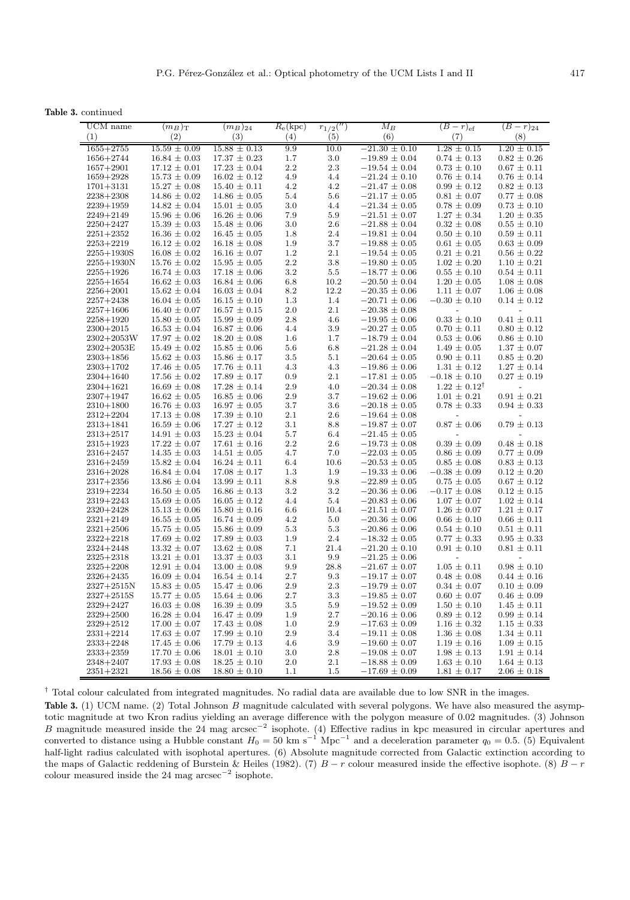**Table 3.** continued

| UCM name<br>(1)                | $(m_B)_{\rm T}$<br>(2)               | $(m_B)_{24}$<br>(3)                  | $R_e$ (kpc)<br>(4) | $r_{1/2}('')$<br>(5) | $M_B$<br>(6)                           | $(B-r)ef$<br>(7)                    | $(B - r)_{24}$<br>(8)                       |
|--------------------------------|--------------------------------------|--------------------------------------|--------------------|----------------------|----------------------------------------|-------------------------------------|---------------------------------------------|
| $1655 + 2755$                  | $15.59 \pm 0.09$                     | $15.88 \pm 0.13$                     | 9.9                | 10.0                 | $-21.30 \pm 0.10$                      | $1.28 \pm 0.15$                     | $1.20 \pm 0.15$                             |
| 1656+2744                      | $16.84 \pm 0.03$                     | $17.37 \pm 0.23$                     | 1.7                | 3.0                  | $-19.89 \pm 0.04$                      | $0.74 \pm 0.13$                     | $0.82 \pm 0.26$                             |
| $1657 + 2901$                  | $17.12 \pm 0.01$                     | $17.23 \pm 0.04$                     | $2.2\,$            | 2.3                  | $-19.54 \pm 0.04$                      | $0.73 \pm 0.10$                     | $0.67 \pm 0.11$                             |
| $1659 + 2928$                  | $15.73 \pm 0.09$                     | $16.02 \pm 0.12$                     | 4.9                | 4.4                  | $-21.24 \pm 0.10$                      | $0.76 \pm 0.14$                     | $0.76 \pm 0.14$                             |
| $1701 + 3131$                  | $15.27 \pm 0.08$                     | $15.40 \pm 0.11$                     | 4.2                | 4.2                  | $-21.47 \pm 0.08$                      | $0.99 \pm 0.12$                     | $0.82 \pm 0.13$                             |
| $2238 + 2308$                  | $14.86 \pm 0.02$                     | $14.86 \pm 0.05$                     | 5.4                | 5.6                  | $-21.17 \pm 0.05$                      | $0.81 \pm 0.07$                     | $0.77 \pm 0.08$                             |
| $2239 + 1959$                  | $14.82 \pm 0.04$                     | $15.01 \pm 0.05$                     | $3.0\,$            | 4.4                  | $-21.34 \pm 0.05$                      | $0.78 \pm 0.09$                     | $0.73 \pm 0.10$                             |
| $2249 + 2149$                  | $15.96 \pm 0.06$                     | $16.26 \pm 0.06$                     | 7.9                | 5.9                  | $-21.51 \pm 0.07$                      | $1.27 \pm 0.34$                     | $1.20 \pm 0.35$                             |
| $2250 + 2427$                  | $15.39 \pm 0.03$                     | $15.48 \pm 0.06$                     | 3.0                | 2.6                  | $-21.88 \pm 0.04$                      | $0.32 \pm 0.08$                     | $0.55 \pm 0.10$                             |
| $2251 + 2352$                  | $16.36 \pm 0.02$                     | $16.45 \pm 0.05$                     | 1.8                | 2.4                  | $-19.81 \pm 0.04$                      | $0.50 \pm 0.10$                     | $0.59 \pm 0.11$                             |
| $2253 + 2219$                  | $16.12 \pm 0.02$                     | $16.18 \pm 0.08$                     | 1.9                | 3.7                  | $-19.88 \pm 0.05$                      | $0.61 \pm 0.05$                     | $0.63 \pm 0.09$                             |
| $2255 + 1930S$                 | $16.08 \pm 0.02$                     | $16.16 \pm 0.07$                     | 1.2                | 2.1                  | $-19.54 \pm 0.05$                      | $0.21 \pm 0.21$                     | $0.56 \pm 0.22$                             |
| $2255 + 1930N$                 | $15.76 \pm 0.02$                     | $15.95 \pm 0.05$                     | 2.2                | 3.8                  | $-19.80 \pm 0.05$                      | $1.02 \pm 0.20$                     | $1.10 \pm 0.21$                             |
| $2255 + 1926$                  | $16.74 \pm 0.03$                     | $17.18 \pm 0.06$                     | 3.2                | 5.5                  | $-18.77 \pm 0.06$                      | $0.55 \pm 0.10$                     | $0.54 \pm 0.11$                             |
| $2255 + 1654$                  | $16.62 \pm 0.03$                     | $16.84 \pm 0.06$                     | 6.8                | 10.2                 | $-20.50 \pm 0.04$                      | $1.20 \pm 0.05$                     | $1.08 \pm 0.08$                             |
| $2256 + 2001$                  | $15.62 \pm 0.04$                     | $16.03 \pm 0.04$                     | 8.2                | 12.2                 | $-20.35 \pm 0.06$                      | $1.11 \pm 0.07$                     | $1.06 \pm 0.08$                             |
| $2257 + 2438$                  | $16.04 \pm 0.05$                     | $16.15 \pm 0.10$                     | 1.3                | 1.4                  | $-20.71 \pm 0.06$                      | $-0.30 \pm 0.10$                    | $0.14 \pm 0.12$                             |
| $2257 + 1606$                  | $16.40 \pm 0.07$<br>$15.80 \pm 0.05$ | $16.57 \pm 0.15$                     | $2.0\,$<br>2.8     | 2.1<br>4.6           | $-20.38 \pm 0.08$<br>$-19.95 \pm 0.06$ | $\overline{a}$<br>$0.33 \pm 0.10$   | $\overline{\phantom{a}}$<br>$0.41 \pm 0.11$ |
| $2258 + 1920$<br>$2300+2015$   | $16.53 \pm 0.04$                     | $15.99 \pm 0.09$<br>$16.87 \pm 0.06$ | 4.4                | 3.9                  | $-20.27 \pm 0.05$                      | $0.70 \pm 0.11$                     | $0.80 \pm 0.12$                             |
| $2302 + 2053W$                 | $17.97 \pm 0.02$                     | $18.20 \pm 0.08$                     | 1.6                | 1.7                  | $-18.79 \pm 0.04$                      | $0.53 \pm 0.06$                     | $0.86 \pm 0.10$                             |
| $2302 + 2053E$                 | $15.49 \pm 0.02$                     | $15.85 \pm 0.06$                     | 5.6                | 6.8                  | $-21.28 \pm 0.04$                      | $1.49 \pm 0.05$                     | $1.37 \pm 0.07$                             |
| $2303 + 1856$                  | $15.62 \pm 0.03$                     | $15.86 \pm 0.17$                     | 3.5                | 5.1                  | $-20.64 \pm 0.05$                      | $0.90 \pm 0.11$                     | $0.85 \pm 0.20$                             |
| $2303 + 1702$                  | $17.46 \pm 0.05$                     | $17.76 \pm 0.11$                     | 4.3                | 4.3                  | $-19.86 \pm 0.06$                      | $1.31 \pm 0.12$                     | $1.27 \pm 0.14$                             |
| $2304 + 1640$                  | $17.56 \pm 0.02$                     | $17.89 \pm 0.17$                     | 0.9                | 2.1                  | $-17.81 \pm 0.05$                      | $-0.18 \pm 0.10$                    | $0.27 \pm 0.19$                             |
| $2304 + 1621$                  | $16.69 \pm 0.08$                     | $17.28 \pm 0.14$                     | 2.9                | 4.0                  | $-20.34 \pm 0.08$                      | $1.22 \pm 0.12^{\dagger}$           | $\overline{\phantom{m}}$                    |
| $2307 + 1947$                  | $16.62 \pm 0.05$                     | $16.85 \pm 0.06$                     | 2.9                | 3.7                  | $-19.62 \pm 0.06$                      | $1.01 \pm 0.21$                     | $0.91 \pm 0.21$                             |
| $2310 + 1800$                  | $16.76 \pm 0.03$                     | $16.97 \pm 0.05$                     | 3.7                | 3.6                  | $-20.18 \pm 0.05$                      | $0.78 \pm 0.33$                     | $0.94 \pm 0.33$                             |
| $2312 + 2204$                  | $17.13 \pm 0.08$                     | $17.39 \pm 0.10$                     | 2.1                | 2.6                  | $-19.64 \pm 0.08$                      | $\overline{\phantom{0}}$            | $\overline{\phantom{0}}$                    |
| $2313 + 1841$                  | $16.59 \pm 0.06$                     | $17.27 \pm 0.12$                     | 3.1                | 8.8                  | $-19.87 \pm 0.07$                      | $0.87\,\pm\,0.06$                   | $0.79\,\pm\,0.13$                           |
| $2313 + 2517$                  | $14.91 \pm 0.03$                     | $15.23 \pm 0.04$                     | 5.7                | 6.4                  | $-21.45 \pm 0.05$                      |                                     |                                             |
| $2315 + 1923$                  | $17.22 \pm 0.07$                     | $17.61 \pm 0.16$                     | $2.2\,$            | 2.6                  | $-19.73 \pm 0.08$                      | $0.39 \pm 0.09$                     | $0.48 \pm 0.18$                             |
| $2316 + 2457$                  | $14.35 \pm 0.03$                     | $14.51 \pm 0.05$                     | 4.7                | 7.0                  | $-22.03 \pm 0.05$                      | $0.86 \pm 0.09$                     | $0.77 \pm 0.09$                             |
| $2316 + 2459$                  | $15.82 \pm 0.04$                     | $16.24 \pm 0.11$                     | 6.4                | 10.6                 | $-20.53 \pm 0.05$                      | $0.85 \pm 0.08$                     | $0.83 \pm 0.13$                             |
| $2316 + 2028$                  | $16.84 \pm 0.04$                     | $17.08 \pm 0.17$                     | 1.3                | 1.9                  | $-19.33 \pm 0.06$                      | $-0.38 \pm 0.09$                    | $0.12 \pm 0.20$                             |
| $2317 + 2356$                  | $13.86 \pm 0.04$                     | $13.99 \pm 0.11$                     | 8.8                | 9.8                  | $-22.89 \pm 0.05$                      | $0.75 \pm 0.05$                     | $0.67 \pm 0.12$                             |
| $2319 + 2234$<br>$2319 + 2243$ | $16.50 \pm 0.05$<br>$15.69 \pm 0.05$ | $16.86 \pm 0.13$<br>$16.05 \pm 0.12$ | 3.2<br>4.4         | $3.2\,$<br>5.4       | $-20.36 \pm 0.06$<br>$-20.83 \pm 0.06$ | $-0.17 \pm 0.08$<br>$1.07 \pm 0.07$ | $0.12 \pm 0.15$<br>$1.02 \pm 0.14$          |
| $2320+2428$                    | $15.13 \pm 0.06$                     | $15.80 \pm 0.16$                     | 6.6                | 10.4                 | $-21.51 \pm 0.07$                      | $1.26 \pm 0.07$                     | $1.21 \pm 0.17$                             |
| $2321 + 2149$                  | $16.55 \pm 0.05$                     | $16.74 \pm 0.09$                     | 4.2                | 5.0                  | $-20.36 \pm 0.06$                      | $0.66 \pm 0.10$                     | $0.66 \pm 0.11$                             |
| $2321 + 2506$                  | $15.75 \pm 0.05$                     | $15.86 \pm 0.09$                     | 5.3                | 5.3                  | $-20.86 \pm 0.06$                      | $0.54 \pm 0.10$                     | $0.51 \pm 0.11$                             |
| $2322 + 2218$                  | $17.69 \pm 0.02$                     | $17.89 \pm 0.03$                     | 1.9                | 2.4                  | $-18.32 \pm 0.05$                      | $0.77 \pm 0.33$                     | $0.95 \pm 0.33$                             |
| $2324 + 2448$                  | $13.32 \pm 0.07$                     | $13.62 \pm 0.08$                     | 7.1                | 21.4                 | $-21.20 \pm 0.10$                      | $0.91 \pm 0.10$                     | $0.81 \pm 0.11$                             |
| $2325 + 2318$                  | $13.21 \pm 0.01$                     | $13.37 \pm 0.03$                     | 3.1                | 9.9                  | $-21.25 \pm 0.06$                      | $\overline{a}$                      | $\overline{a}$                              |
| $2325 + 2208$                  | $12.91 \pm 0.04$                     | $13.00 \pm 0.08$                     | $\,9.9$            | 28.8                 | $-21.67 \pm 0.07$                      | $1.05 \pm 0.11$                     | $0.98 \pm 0.10$                             |
| $2326 + 2435$                  | $16.09 \pm 0.04$                     | $16.54 \pm 0.14$                     | $2.7\,$            | 9.3                  | $-19.17 \pm 0.07$                      | $0.48 \pm 0.08$                     | $0.44 \pm 0.16$                             |
| $2327 + 2515N$                 | $15.83 \pm 0.05$                     | $15.47 \pm 0.06$                     | 2.9                | 2.3                  | $-19.79 \pm 0.07$                      | $0.34 \pm 0.07$                     | $0.10 \pm 0.09$                             |
| $2327 + 2515S$                 | $15.77\,\pm\,0.05$                   | $15.64 \pm 0.06$                     | 2.7                | $3.3\,$              | $-19.85 \pm 0.07$                      | $0.60 \pm 0.07$                     | $0.46 \pm 0.09$                             |
| $2329 + 2427$                  | $16.03 \pm 0.08$                     | $16.39 \pm 0.09$                     | $3.5\,$            | 5.9                  | $-19.52 \pm 0.09$                      | $1.50 \pm 0.10$                     | $1.45 \pm 0.11$                             |
| $2329 + 2500$                  | $16.28\,\pm\,0.04$                   | $16.47 \pm 0.09$                     | $1.9\,$            | $2.7\,$              | $-20.16 \pm 0.06$                      | $0.89 \pm 0.12$                     | $0.99\,\pm\,0.14$                           |
| $2329 + 2512$                  | $17.00 \pm 0.07$                     | $17.43 \pm 0.08$                     | $1.0\,$            | $2.9\,$              | $-17.63 \pm 0.09$                      | $1.16 \pm 0.32$                     | $1.15 \pm 0.33$                             |
| $2331 + 2214$                  | $17.63 \pm 0.07$                     | $17.99 \pm 0.10$                     | $2.9\,$            | 3.4                  | $-19.11 \pm 0.08$                      | $1.36 \pm 0.08$                     | $1.34 \pm 0.11$                             |
| $2333+2248$                    | $17.45 \pm 0.06$                     | $17.79 \pm 0.13$                     | 4.6                | $3.9\,$              | $-19.60 \pm 0.07$                      | $1.19 \pm 0.16$                     | $1.09 \pm 0.15$                             |
| $2333+2359$                    | $17.70 \pm 0.06$                     | $18.01 \pm 0.10$                     | $3.0\,$            | $2.8\,$              | $-19.08 \pm 0.07$                      | $1.98 \pm 0.13$                     | $1.91 \pm 0.14$                             |
| $2348 + 2407$<br>$2351 + 2321$ | $17.93 \pm 0.08$<br>$18.56 \pm 0.08$ | $18.25 \pm 0.10$<br>$18.80 \pm 0.10$ | $2.0\,$            | $2.1\,$              | $-18.88 \pm 0.09$<br>$-17.69 \pm 0.09$ | $1.63 \pm 0.10$                     | $1.64 \pm 0.13$<br>$2.06 \pm 0.18$          |
|                                |                                      |                                      | $1.1\,$            | $1.5\,$              |                                        | $1.81 \pm 0.17$                     |                                             |

 $^\dagger$  Total colour calculated from integrated magnitudes. No radial data are available due to low SNR in the images.

**Table 3.** (1) UCM name. (2) Total Johnson B magnitude calculated with several polygons. We have also measured the asymptotic magnitude at two Kron radius yielding an average difference with the polygon measure of 0.02 magnitudes. (3) Johnson B magnitude measured inside the 24 mag arcsec<sup>-2</sup> isophote. (4) Effective radius in kpc measured in circular apertures and converted to distance using a Hubble constant  $H_0 = 50 \text{ km s}^{-1} \text{ Mpc}^{-1}$  and a deceleration parameter  $q_0 = 0.5$ . (5) Equivalent half-light radius calculated with isophotal apertures. (6) Absolute magnitude corrected from Galactic extinction according to the maps of Galactic reddening of Burstein & Heiles (1982). (7)  $B - r$  colour measured inside the effective isophote. (8)  $B - r$ colour measured inside the 24 mag arcsec−<sup>2</sup> isophote.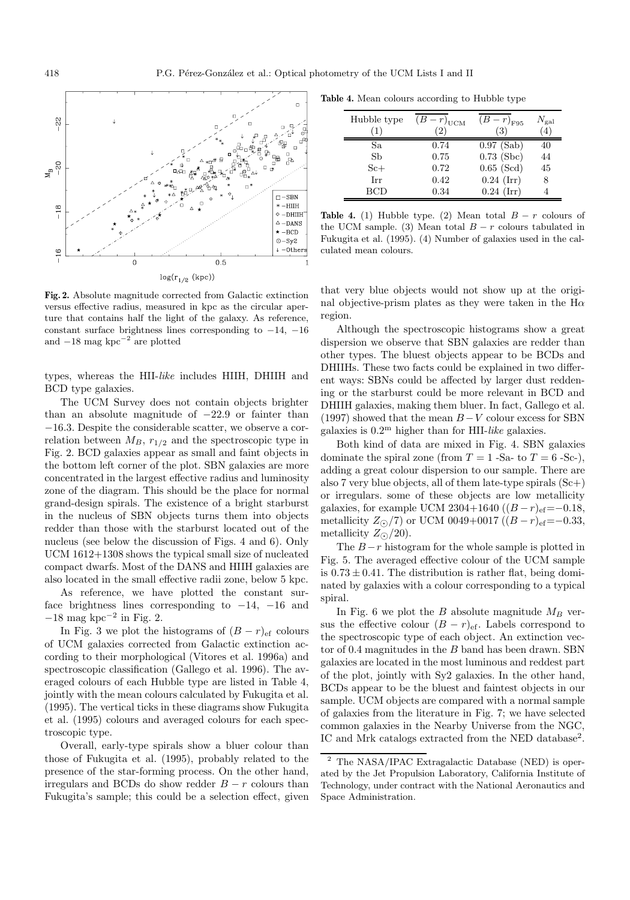

**Fig. 2.** Absolute magnitude corrected from Galactic extinction versus effective radius, measured in kpc as the circular aperture that contains half the light of the galaxy. As reference, constant surface brightness lines corresponding to  $-14$ ,  $-16$ and  $-18$  mag kpc<sup>-2</sup> are plotted

types, whereas the HII-like includes HIIH, DHIIH and BCD type galaxies.

The UCM Survey does not contain objects brighter than an absolute magnitude of −22.9 or fainter than −16.3. Despite the considerable scatter, we observe a correlation between  $M_B$ ,  $r_{1/2}$  and the spectroscopic type in Fig. 2. BCD galaxies appear as small and faint objects in the bottom left corner of the plot. SBN galaxies are more concentrated in the largest effective radius and luminosity zone of the diagram. This should be the place for normal grand-design spirals. The existence of a bright starburst in the nucleus of SBN objects turns them into objects redder than those with the starburst located out of the nucleus (see below the discussion of Figs. 4 and 6). Only UCM 1612+1308 shows the typical small size of nucleated compact dwarfs. Most of the DANS and HIIH galaxies are also located in the small effective radii zone, below 5 kpc.

As reference, we have plotted the constant surface brightness lines corresponding to  $-14$ ,  $-16$  and  $-18$  mag kpc<sup> $-2$ </sup> in Fig. 2.

In Fig. 3 we plot the histograms of  $(B - r)_{\text{ef}}$  colours of UCM galaxies corrected from Galactic extinction according to their morphological (Vitores et al. 1996a) and spectroscopic classification (Gallego et al. 1996). The averaged colours of each Hubble type are listed in Table 4, jointly with the mean colours calculated by Fukugita et al. (1995). The vertical ticks in these diagrams show Fukugita et al. (1995) colours and averaged colours for each spectroscopic type.

Overall, early-type spirals show a bluer colour than those of Fukugita et al. (1995), probably related to the presence of the star-forming process. On the other hand, irregulars and BCDs do show redder  $B - r$  colours than Fukugita's sample; this could be a selection effect, given

**Table 4.** Mean colours according to Hubble type

| Hubble type | $(\overline{B}-r)_{\text{UCM}}$<br>$^{'}2)$ | $(B-r)_{F95}$<br>3) | $N_{\rm gal}$<br>$\left( 4\right)$ |
|-------------|---------------------------------------------|---------------------|------------------------------------|
| Sa          | 0.74                                        | $0.97$ (Sab)        | 40                                 |
| Sb          | 0.75                                        | $0.73$ (Sbc)        | 44                                 |
| $S_{c+}$    | 0.72                                        | $0.65$ (Scd)        | 45                                 |
| Irr         | 0.42                                        | $0.24$ (Irr)        | 8                                  |
| <b>BCD</b>  | 0.34                                        | $0.24$ (Irr)        |                                    |
|             |                                             |                     |                                    |

**Table 4.** (1) Hubble type. (2) Mean total  $B - r$  colours of the UCM sample. (3) Mean total  $B - r$  colours tabulated in Fukugita et al. (1995). (4) Number of galaxies used in the calculated mean colours.

that very blue objects would not show up at the original objective-prism plates as they were taken in the  $H\alpha$ region.

Although the spectroscopic histograms show a great dispersion we observe that SBN galaxies are redder than other types. The bluest objects appear to be BCDs and DHIIHs. These two facts could be explained in two different ways: SBNs could be affected by larger dust reddening or the starburst could be more relevant in BCD and DHIIH galaxies, making them bluer. In fact, Gallego et al. (1997) showed that the mean  $B-V$  colour excess for SBN galaxies is  $0.2^{\text{m}}$  higher than for HII-like galaxies.

Both kind of data are mixed in Fig. 4. SBN galaxies dominate the spiral zone (from  $T = 1$  -Sa- to  $T = 6$  -Sc-), adding a great colour dispersion to our sample. There are also 7 very blue objects, all of them late-type spirals  $(Sc+)$ or irregulars. some of these objects are low metallicity galaxies, for example UCM 2304+1640  $((B - r)_{\text{ef}} = -0.18,$ metallicity  $Z_{\odot}/7$ ) or UCM 0049+0017 ( $(B-r)_{\text{ef}}=-0.33$ , metallicity  $Z_{\odot}/20$ ).

The  $B-r$  histogram for the whole sample is plotted in Fig. 5. The averaged effective colour of the UCM sample is  $0.73 \pm 0.41$ . The distribution is rather flat, being dominated by galaxies with a colour corresponding to a typical spiral.

In Fig. 6 we plot the B absolute magnitude  $M_B$  versus the effective colour  $(B - r)_{\text{ef}}$ . Labels correspond to the spectroscopic type of each object. An extinction vector of  $0.4$  magnitudes in the  $B$  band has been drawn. SBN galaxies are located in the most luminous and reddest part of the plot, jointly with Sy2 galaxies. In the other hand, BCDs appear to be the bluest and faintest objects in our sample. UCM objects are compared with a normal sample of galaxies from the literature in Fig. 7; we have selected common galaxies in the Nearby Universe from the NGC, IC and Mrk catalogs extracted from the NED database<sup>2</sup>.

<sup>2</sup> The NASA/IPAC Extragalactic Database (NED) is operated by the Jet Propulsion Laboratory, California Institute of Technology, under contract with the National Aeronautics and Space Administration.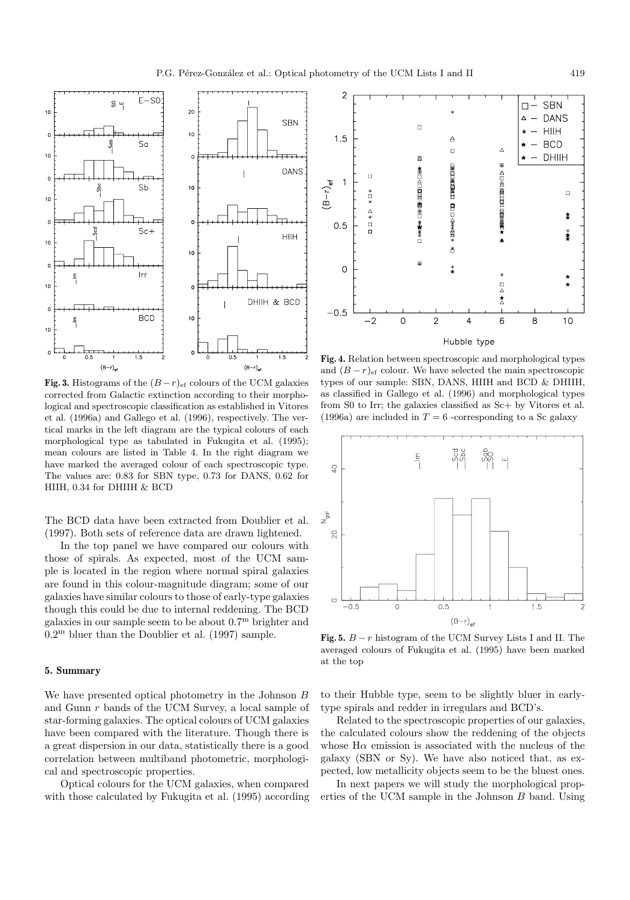

**Fig. 3.** Histograms of the  $(B - r)_{\text{ef}}$  colours of the UCM galaxies corrected from Galactic extinction according to their morphological and spectroscopic classification as established in Vitores et al. (1996a) and Gallego et al. (1996), respectively. The vertical marks in the left diagram are the typical colours of each morphological type as tabulated in Fukugita et al. (1995); mean colours are listed in Table 4. In the right diagram we have marked the averaged colour of each spectroscopic type. The values are: 0.83 for SBN type, 0.73 for DANS, 0.62 for HIIH, 0.34 for DHIIH & BCD

The BCD data have been extracted from Doublier et al. (1997). Both sets of reference data are drawn lightened.

In the top panel we have compared our colours with those of spirals. As expected, most of the UCM sample is located in the region where normal spiral galaxies are found in this colour-magnitude diagram; some of our galaxies have similar colours to those of early-type galaxies though this could be due to internal reddening. The BCD galaxies in our sample seem to be about 0.7<sup>m</sup> brighter and  $0.2^{\text{m}}$  bluer than the Doublier et al. (1997) sample.

### **5. Summary**

We have presented optical photometry in the Johnson B and Gunn r bands of the UCM Survey, a local sample of star-forming galaxies. The optical colours of UCM galaxies have been compared with the literature. Though there is a great dispersion in our data, statistically there is a good correlation between multiband photometric, morphological and spectroscopic properties.

Optical colours for the UCM galaxies, when compared with those calculated by Fukugita et al. (1995) according



**Fig. 4.** Relation between spectroscopic and morphological types and  $(B - r)_{\text{ef}}$  colour. We have selected the main spectroscopic types of our sample: SBN, DANS, HIIH and BCD & DHIIH, as classified in Gallego et al. (1996) and morphological types from S0 to Irr; the galaxies classified as Sc+ by Vitores et al. (1996a) are included in  $T = 6$  -corresponding to a Sc galaxy



**Fig. 5.**  $B - r$  histogram of the UCM Survey Lists I and II. The averaged colours of Fukugita et al. (1995) have been marked at the top

to their Hubble type, seem to be slightly bluer in earlytype spirals and redder in irregulars and BCD's.

Related to the spectroscopic properties of our galaxies, the calculated colours show the reddening of the objects whose  $H\alpha$  emission is associated with the nucleus of the galaxy (SBN or Sy). We have also noticed that, as expected, low metallicity objects seem to be the bluest ones.

In next papers we will study the morphological properties of the UCM sample in the Johnson B band. Using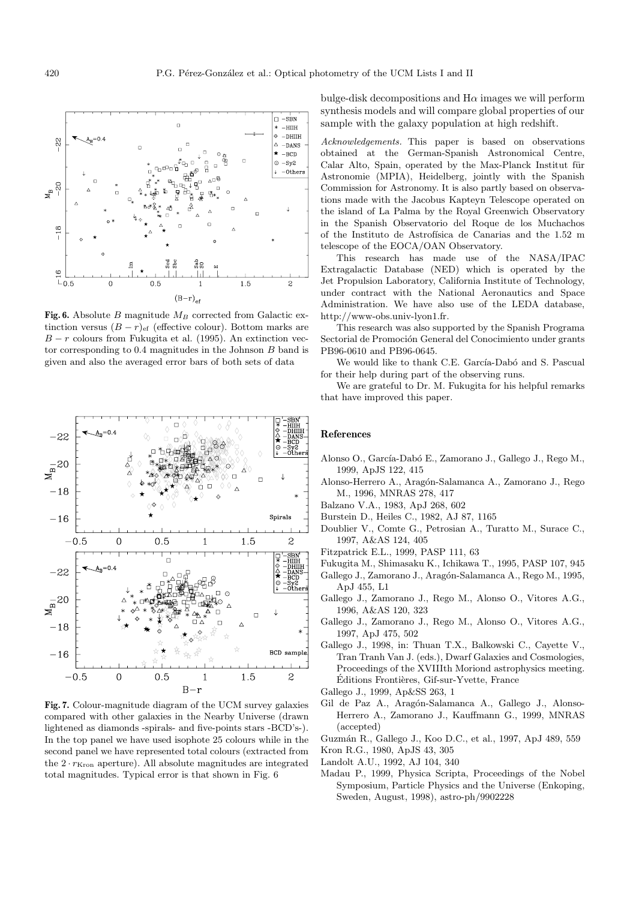

 $1\,$  $B-r$ 

1.5

 $\mathbf{z}$ 

 $0.5$ 

 $\mathbf 0$ 

 $-0.5$ 

bulge-disk decompositions and  $H\alpha$  images we will perform synthesis models and will compare global properties of our sample with the galaxy population at high redshift.

Acknowledgements. This paper is based on observations obtained at the German-Spanish Astronomical Centre, Calar Alto, Spain, operated by the Max-Planck Institut für Astronomie (MPIA), Heidelberg, jointly with the Spanish Commission for Astronomy. It is also partly based on observations made with the Jacobus Kapteyn Telescope operated on the island of La Palma by the Royal Greenwich Observatory in the Spanish Observatorio del Roque de los Muchachos of the Instituto de Astrofísica de Canarias and the 1.52 m telescope of the EOCA/OAN Observatory.

This research has made use of the NASA/IPAC Extragalactic Database (NED) which is operated by the Jet Propulsion Laboratory, California Institute of Technology, under contract with the National Aeronautics and Space Administration. We have also use of the LEDA database, http://www-obs.univ-lyon1.fr.

This research was also supported by the Spanish Programa Sectorial de Promoción General del Conocimiento under grants PB96-0610 and PB96-0645.

We would like to thank C.E. García-Dabó and S. Pascual for their help during part of the observing runs.

We are grateful to Dr. M. Fukugita for his helpful remarks that have improved this paper.

#### **References**

- Alonso O., García-Dabó E., Zamorano J., Gallego J., Rego M., 1999, ApJS 122, 415
- Alonso-Herrero A., Aragón-Salamanca A., Zamorano J., Rego M., 1996, MNRAS 278, 417
- Balzano V.A., 1983, ApJ 268, 602
- Burstein D., Heiles C., 1982, AJ 87, 1165
- Doublier V., Comte G., Petrosian A., Turatto M., Surace C., 1997, A&AS 124, 405
- Fitzpatrick E.L., 1999, PASP 111, 63
- Fukugita M., Shimasaku K., Ichikawa T., 1995, PASP 107, 945
- Gallego J., Zamorano J., Aragón-Salamanca A., Rego M., 1995, ApJ 455, L1
- Gallego J., Zamorano J., Rego M., Alonso O., Vitores A.G., 1996, A&AS 120, 323
- Gallego J., Zamorano J., Rego M., Alonso O., Vitores A.G., 1997, ApJ 475, 502
- Gallego J., 1998, in: Thuan T.X., Balkowski C., Cayette V., Tran Tranh Van J. (eds.), Dwarf Galaxies and Cosmologies, Proceedings of the XVIIIth Moriond astrophysics meeting. Éditions Frontières, Gif-sur-Yvette, France
- Gallego J., 1999, Ap&SS 263, 1
- Gil de Paz A., Aragón-Salamanca A., Gallego J., Alonso-Herrero A., Zamorano J., Kauffmann G., 1999, MNRAS (accepted)

Guzm´an R., Gallego J., Koo D.C., et al., 1997, ApJ 489, 559

- Kron R.G., 1980, ApJS 43, 305
- Landolt A.U., 1992, AJ 104, 340
- Madau P., 1999, Physica Scripta, Proceedings of the Nobel Symposium, Particle Physics and the Universe (Enkoping, Sweden, August, 1998), astro-ph/9902228